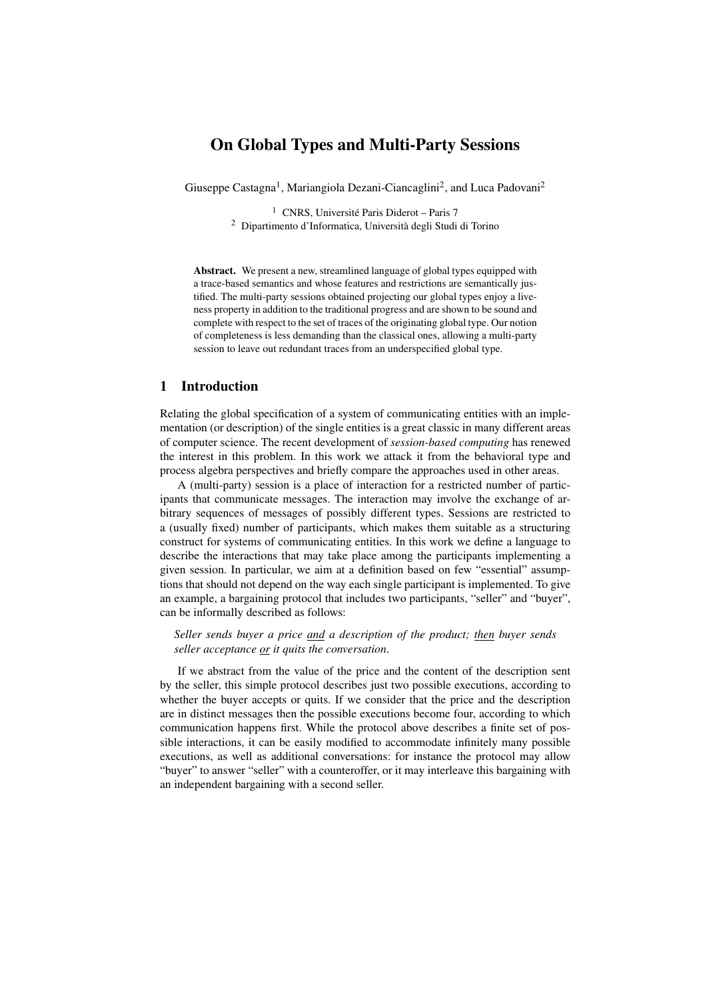# On Global Types and Multi-Party Sessions

Giuseppe Castagna<sup>1</sup>, Mariangiola Dezani-Ciancaglini<sup>2</sup>, and Luca Padovani<sup>2</sup>

<sup>1</sup> CNRS, Université Paris Diderot – Paris 7 <sup>2</sup> Dipartimento d'Informatica, Università degli Studi di Torino

Abstract. We present a new, streamlined language of global types equipped with a trace-based semantics and whose features and restrictions are semantically justified. The multi-party sessions obtained projecting our global types enjoy a liveness property in addition to the traditional progress and are shown to be sound and complete with respect to the set of traces of the originating global type. Our notion of completeness is less demanding than the classical ones, allowing a multi-party session to leave out redundant traces from an underspecified global type.

### 1 Introduction

Relating the global specification of a system of communicating entities with an implementation (or description) of the single entities is a great classic in many different areas of computer science. The recent development of *session-based computing* has renewed the interest in this problem. In this work we attack it from the behavioral type and process algebra perspectives and briefly compare the approaches used in other areas.

A (multi-party) session is a place of interaction for a restricted number of participants that communicate messages. The interaction may involve the exchange of arbitrary sequences of messages of possibly different types. Sessions are restricted to a (usually fixed) number of participants, which makes them suitable as a structuring construct for systems of communicating entities. In this work we define a language to describe the interactions that may take place among the participants implementing a given session. In particular, we aim at a definition based on few "essential" assumptions that should not depend on the way each single participant is implemented. To give an example, a bargaining protocol that includes two participants, "seller" and "buyer", can be informally described as follows:

*Seller sends buyer a price and a description of the product; then buyer sends seller acceptance or it quits the conversation*.

If we abstract from the value of the price and the content of the description sent by the seller, this simple protocol describes just two possible executions, according to whether the buyer accepts or quits. If we consider that the price and the description are in distinct messages then the possible executions become four, according to which communication happens first. While the protocol above describes a finite set of possible interactions, it can be easily modified to accommodate infinitely many possible executions, as well as additional conversations: for instance the protocol may allow "buyer" to answer "seller" with a counteroffer, or it may interleave this bargaining with an independent bargaining with a second seller.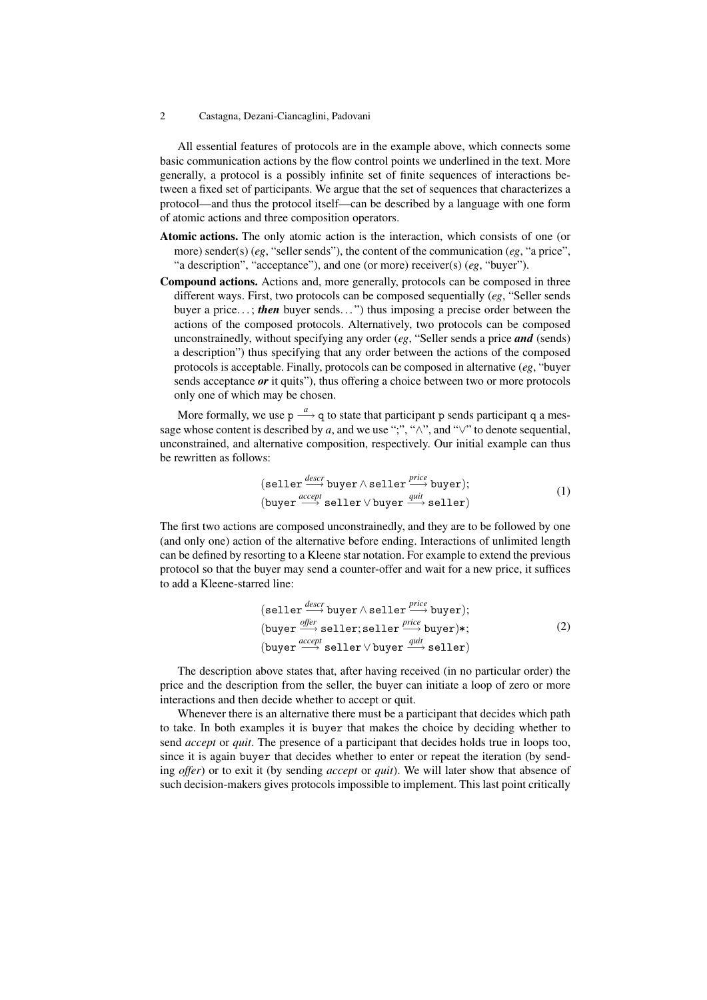All essential features of protocols are in the example above, which connects some basic communication actions by the flow control points we underlined in the text. More generally, a protocol is a possibly infinite set of finite sequences of interactions between a fixed set of participants. We argue that the set of sequences that characterizes a protocol—and thus the protocol itself—can be described by a language with one form of atomic actions and three composition operators.

- Atomic actions. The only atomic action is the interaction, which consists of one (or more) sender(s) (*eg*, "seller sends"), the content of the communication (*eg*, "a price", "a description", "acceptance"), and one (or more) receiver(s) (*eg*, "buyer").
- Compound actions. Actions and, more generally, protocols can be composed in three different ways. First, two protocols can be composed sequentially (*eg*, "Seller sends buyer a price. . . ; *then* buyer sends. . . ") thus imposing a precise order between the actions of the composed protocols. Alternatively, two protocols can be composed unconstrainedly, without specifying any order (*eg*, "Seller sends a price *and* (sends) a description") thus specifying that any order between the actions of the composed protocols is acceptable. Finally, protocols can be composed in alternative (*eg*, "buyer sends acceptance *or* it quits"), thus offering a choice between two or more protocols only one of which may be chosen.

More formally, we use  $p \stackrel{a}{\longrightarrow} q$  to state that participant p sends participant q a message whose content is described by *a*, and we use ";", "∧", and "∨" to denote sequential, unconstrained, and alternative composition, respectively. Our initial example can thus be rewritten as follows:

$$
(\text{select} \xrightarrow{desc} \text{burger} \wedge \text{select} \xrightarrow{price} \text{buyer});
$$
\n
$$
(\text{buyer} \xrightarrow{accept} \text{select} \vee \text{buyer} \xrightarrow{quit} \text{select})
$$
\n(1)

The first two actions are composed unconstrainedly, and they are to be followed by one (and only one) action of the alternative before ending. Interactions of unlimited length can be defined by resorting to a Kleene star notation. For example to extend the previous protocol so that the buyer may send a counter-offer and wait for a new price, it suffices to add a Kleene-starred line:

$$
(\text{select} \xrightarrow{descr} \text{burger} \wedge \text{select} \xrightarrow{price} \text{buyer});
$$
\n
$$
(\text{buyer} \xrightarrow{offer} \text{select}; \text{select} \xrightarrow{price} \text{buyer})*;
$$
\n
$$
(\text{buyer} \xrightarrow{accept} \text{select} \vee \text{buyer} \xrightarrow{quit} \text{select})
$$
\n(2)

The description above states that, after having received (in no particular order) the price and the description from the seller, the buyer can initiate a loop of zero or more interactions and then decide whether to accept or quit.

Whenever there is an alternative there must be a participant that decides which path to take. In both examples it is buyer that makes the choice by deciding whether to send *accept* or *quit*. The presence of a participant that decides holds true in loops too, since it is again buyer that decides whether to enter or repeat the iteration (by sending *offer*) or to exit it (by sending *accept* or *quit*). We will later show that absence of such decision-makers gives protocols impossible to implement. This last point critically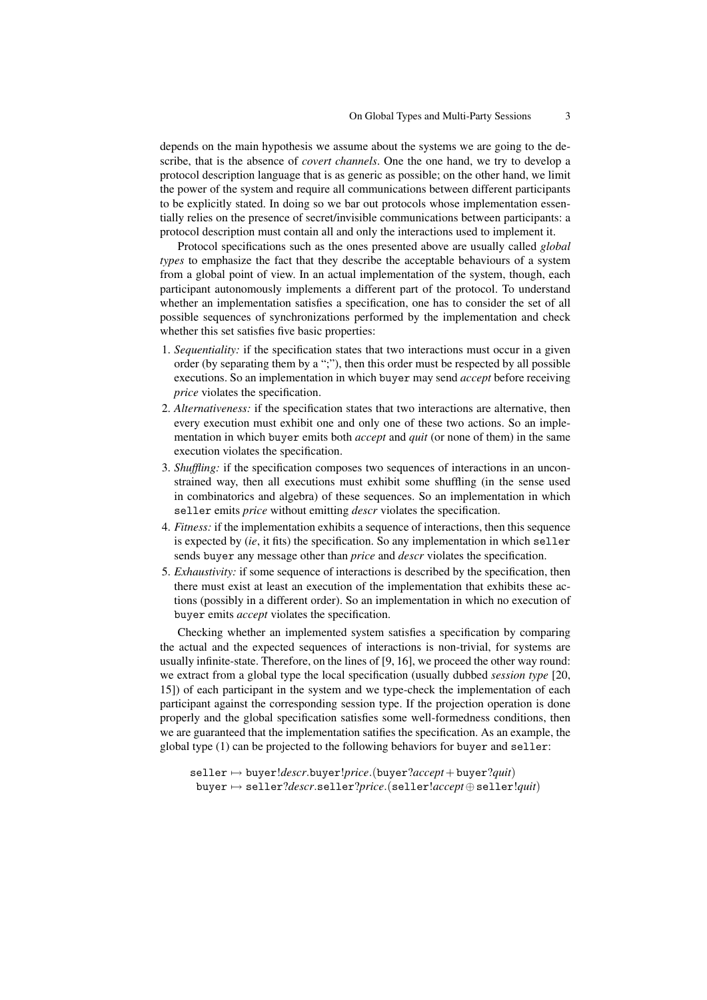depends on the main hypothesis we assume about the systems we are going to the describe, that is the absence of *covert channels*. One the one hand, we try to develop a protocol description language that is as generic as possible; on the other hand, we limit the power of the system and require all communications between different participants to be explicitly stated. In doing so we bar out protocols whose implementation essentially relies on the presence of secret/invisible communications between participants: a protocol description must contain all and only the interactions used to implement it.

Protocol specifications such as the ones presented above are usually called *global types* to emphasize the fact that they describe the acceptable behaviours of a system from a global point of view. In an actual implementation of the system, though, each participant autonomously implements a different part of the protocol. To understand whether an implementation satisfies a specification, one has to consider the set of all possible sequences of synchronizations performed by the implementation and check whether this set satisfies five basic properties:

- 1. *Sequentiality:* if the specification states that two interactions must occur in a given order (by separating them by a ";"), then this order must be respected by all possible executions. So an implementation in which buyer may send *accept* before receiving *price* violates the specification.
- 2. *Alternativeness:* if the specification states that two interactions are alternative, then every execution must exhibit one and only one of these two actions. So an implementation in which buyer emits both *accept* and *quit* (or none of them) in the same execution violates the specification.
- 3. *Shuffling:* if the specification composes two sequences of interactions in an unconstrained way, then all executions must exhibit some shuffling (in the sense used in combinatorics and algebra) of these sequences. So an implementation in which seller emits *price* without emitting *descr* violates the specification.
- 4. *Fitness:* if the implementation exhibits a sequence of interactions, then this sequence is expected by (*ie*, it fits) the specification. So any implementation in which seller sends buyer any message other than *price* and *descr* violates the specification.
- 5. *Exhaustivity:* if some sequence of interactions is described by the specification, then there must exist at least an execution of the implementation that exhibits these actions (possibly in a different order). So an implementation in which no execution of buyer emits *accept* violates the specification.

Checking whether an implemented system satisfies a specification by comparing the actual and the expected sequences of interactions is non-trivial, for systems are usually infinite-state. Therefore, on the lines of [9, 16], we proceed the other way round: we extract from a global type the local specification (usually dubbed *session type* [20, 15]) of each participant in the system and we type-check the implementation of each participant against the corresponding session type. If the projection operation is done properly and the global specification satisfies some well-formedness conditions, then we are guaranteed that the implementation satifies the specification. As an example, the global type (1) can be projected to the following behaviors for buyer and seller:

seller 7→ buyer!*descr*.buyer!*price*.(buyer?*accept*+buyer?*quit*) buyer 7→ seller?*descr*.seller?*price*.(seller!*accept*⊕seller!*quit*)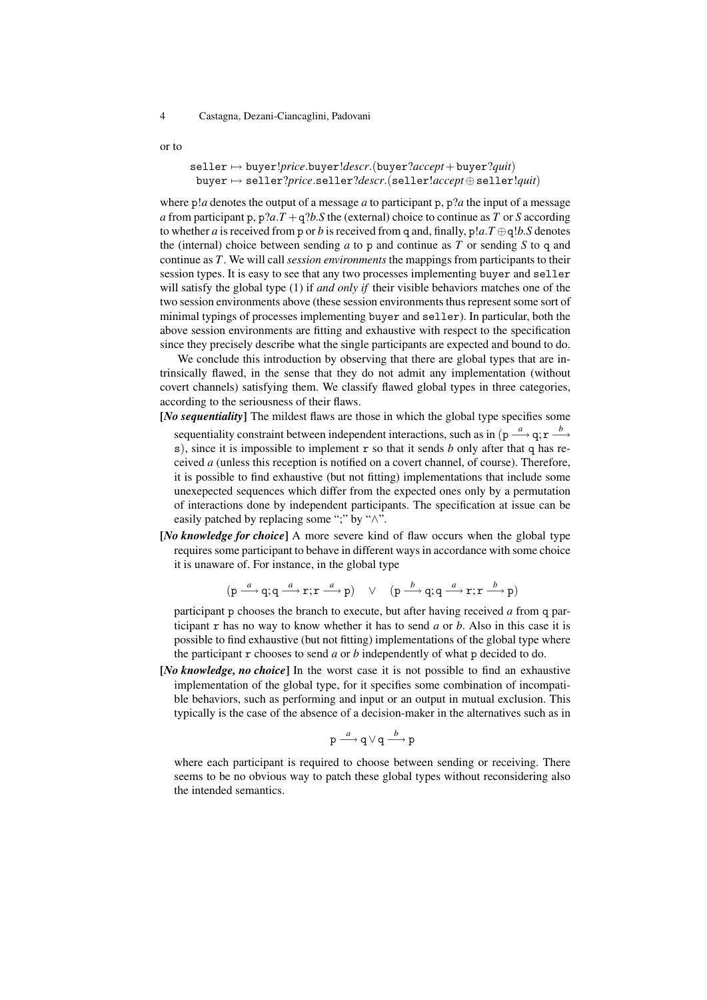or to

```
seller 7→ buyer!price.buyer!descr.(buyer?accept+buyer?quit)
buyer 7→ seller?price.seller?descr.(seller!accept⊕seller!quit)
```
where  $p!a$  denotes the output of a message *a* to participant p,  $p?a$  the input of a message *a* from participant p,  $p$ ?*a*.*T* + q?*b*.*S* the (external) choice to continue as *T* or *S* according to whether *a* is received from p or *b* is received from q and, finally, p!*a*.*T*  $\oplus$  q!*b*.*S* denotes the (internal) choice between sending *a* to p and continue as *T* or sending *S* to q and continue as *T*. We will call *session environments* the mappings from participants to their session types. It is easy to see that any two processes implementing buyer and seller will satisfy the global type (1) if *and only if* their visible behaviors matches one of the two session environments above (these session environments thus represent some sort of minimal typings of processes implementing buyer and seller). In particular, both the above session environments are fitting and exhaustive with respect to the specification since they precisely describe what the single participants are expected and bound to do.

We conclude this introduction by observing that there are global types that are intrinsically flawed, in the sense that they do not admit any implementation (without covert channels) satisfying them. We classify flawed global types in three categories, according to the seriousness of their flaws.

- [*No sequentiality*] The mildest flaws are those in which the global type specifies some sequentiality constraint between independent interactions, such as in (p  $\stackrel{a}{\longrightarrow} q$ ; r  $\stackrel{b}{\longrightarrow}$ s), since it is impossible to implement r so that it sends *b* only after that q has received *a* (unless this reception is notified on a covert channel, of course). Therefore, it is possible to find exhaustive (but not fitting) implementations that include some unexepected sequences which differ from the expected ones only by a permutation of interactions done by independent participants. The specification at issue can be easily patched by replacing some ";" by "∧".
- [*No knowledge for choice*] A more severe kind of flaw occurs when the global type requires some participant to behave in different ways in accordance with some choice it is unaware of. For instance, in the global type

$$
\big(\mathtt{p}\overset{a}{\longrightarrow}\mathtt{q};\mathtt{q}\overset{a}{\longrightarrow}\mathtt{r};\mathtt{r}\overset{a}{\longrightarrow}\mathtt{p}\big)\quad\vee\quad\big(\mathtt{p}\overset{b}{\longrightarrow}\mathtt{q};\mathtt{q}\overset{a}{\longrightarrow}\mathtt{r};\mathtt{r}\overset{b}{\longrightarrow}\mathtt{p}\big)
$$

participant p chooses the branch to execute, but after having received *a* from q participant r has no way to know whether it has to send *a* or *b*. Also in this case it is possible to find exhaustive (but not fitting) implementations of the global type where the participant  $r$  chooses to send  $a$  or  $b$  independently of what  $p$  decided to do.

[*No knowledge, no choice*] In the worst case it is not possible to find an exhaustive implementation of the global type, for it specifies some combination of incompatible behaviors, such as performing and input or an output in mutual exclusion. This typically is the case of the absence of a decision-maker in the alternatives such as in

$$
\mathtt{p}\mathop{\longrightarrow}\limits^{a}\mathtt{q}\vee\mathtt{q}\mathop{\longrightarrow}\limits^{b}\mathtt{p}
$$

where each participant is required to choose between sending or receiving. There seems to be no obvious way to patch these global types without reconsidering also the intended semantics.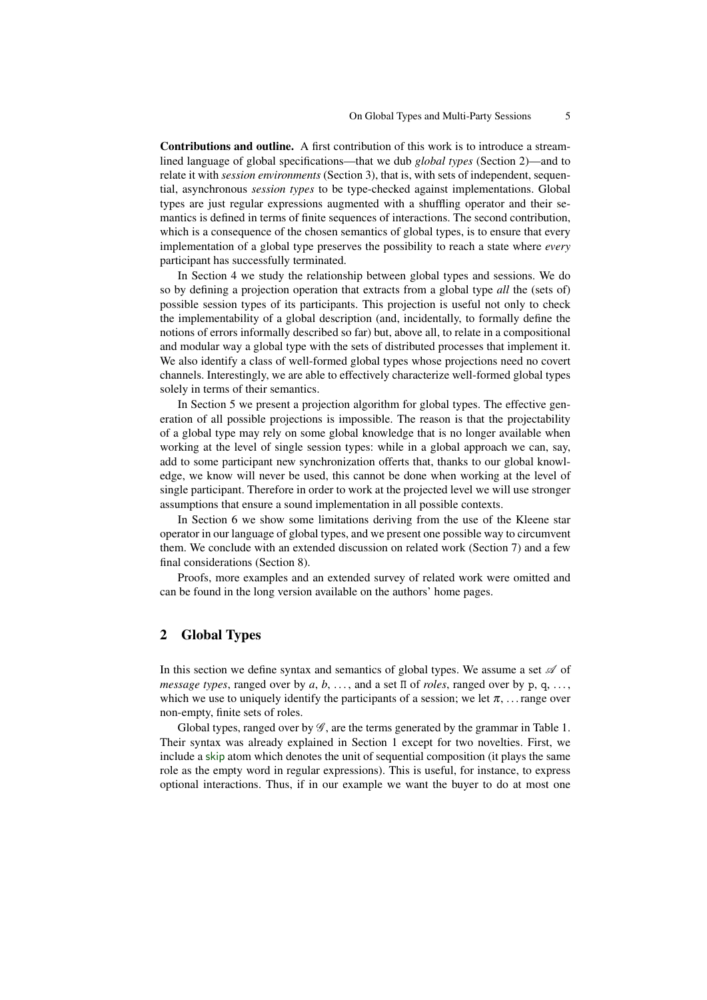Contributions and outline. A first contribution of this work is to introduce a streamlined language of global specifications—that we dub *global types* (Section 2)—and to relate it with *session environments* (Section 3), that is, with sets of independent, sequential, asynchronous *session types* to be type-checked against implementations. Global types are just regular expressions augmented with a shuffling operator and their semantics is defined in terms of finite sequences of interactions. The second contribution, which is a consequence of the chosen semantics of global types, is to ensure that every implementation of a global type preserves the possibility to reach a state where *every* participant has successfully terminated.

In Section 4 we study the relationship between global types and sessions. We do so by defining a projection operation that extracts from a global type *all* the (sets of) possible session types of its participants. This projection is useful not only to check the implementability of a global description (and, incidentally, to formally define the notions of errors informally described so far) but, above all, to relate in a compositional and modular way a global type with the sets of distributed processes that implement it. We also identify a class of well-formed global types whose projections need no covert channels. Interestingly, we are able to effectively characterize well-formed global types solely in terms of their semantics.

In Section 5 we present a projection algorithm for global types. The effective generation of all possible projections is impossible. The reason is that the projectability of a global type may rely on some global knowledge that is no longer available when working at the level of single session types: while in a global approach we can, say, add to some participant new synchronization offerts that, thanks to our global knowledge, we know will never be used, this cannot be done when working at the level of single participant. Therefore in order to work at the projected level we will use stronger assumptions that ensure a sound implementation in all possible contexts.

In Section 6 we show some limitations deriving from the use of the Kleene star operator in our language of global types, and we present one possible way to circumvent them. We conclude with an extended discussion on related work (Section 7) and a few final considerations (Section 8).

Proofs, more examples and an extended survey of related work were omitted and can be found in the long version available on the authors' home pages.

## 2 Global Types

In this section we define syntax and semantics of global types. We assume a set  $\mathscr A$  of *message types*, ranged over by *a*, *b*, . . . , and a set Π of *roles*, ranged over by p, q, . . . , which we use to uniquely identify the participants of a session; we let  $\pi$ , ... range over non-empty, finite sets of roles.

Global types, ranged over by  $\mathscr G$ , are the terms generated by the grammar in Table 1. Their syntax was already explained in Section 1 except for two novelties. First, we include a skip atom which denotes the unit of sequential composition (it plays the same role as the empty word in regular expressions). This is useful, for instance, to express optional interactions. Thus, if in our example we want the buyer to do at most one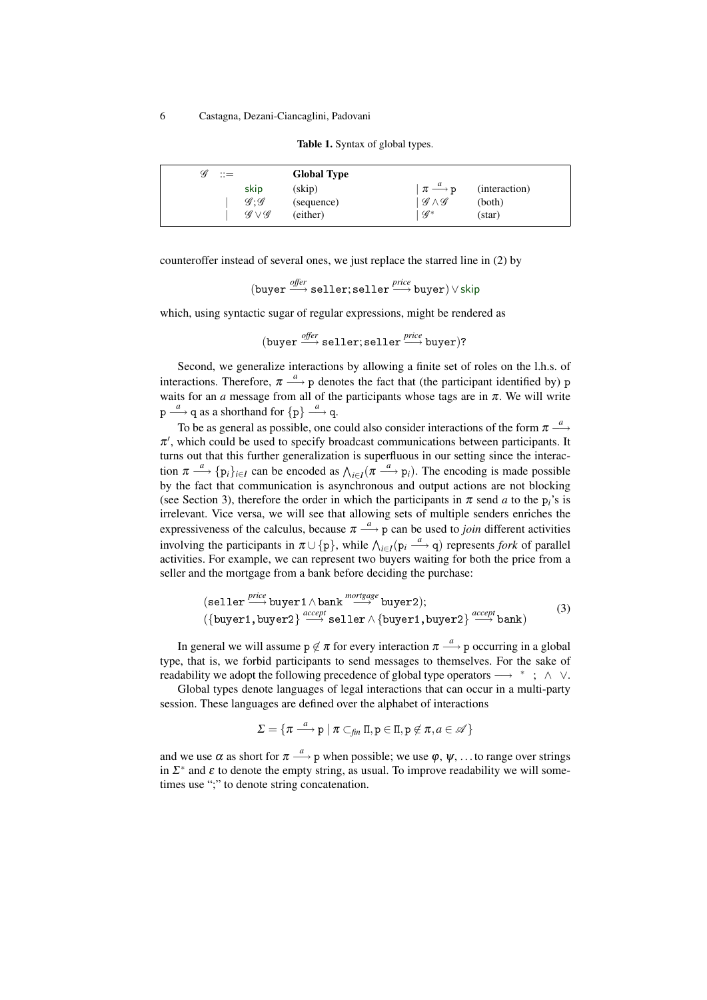| Ġ<br>$\mathrel{\mathop:}=$     | <b>Global Type</b> |                         |               |
|--------------------------------|--------------------|-------------------------|---------------|
| skip                           | (skip)             | $\pi \xrightarrow{u} p$ | (interaction) |
| $\mathscr{G}$ : $\mathscr{G}$  | (sequence)         | $ $ G $\wedge$ G        | (both)        |
| $\mathscr{G} \vee \mathscr{G}$ | (either)           | $\mathscr{G}^*$         | (star)        |

Table 1. Syntax of global types.

counteroffer instead of several ones, we just replace the starred line in (2) by

$$
(\texttt{buyer} \xrightarrow{offer} \texttt{self:} \texttt{self:} \xrightarrow{price} \texttt{buyer}) \lor \texttt{skip}
$$

which, using syntactic sugar of regular expressions, might be rendered as

$$
(\texttt{buyer} \xrightarrow{offer} \texttt{self:} \texttt{self:} \xrightarrow{price} \texttt{buyer})?
$$

Second, we generalize interactions by allowing a finite set of roles on the l.h.s. of interactions. Therefore,  $\pi \stackrel{a}{\longrightarrow} p$  denotes the fact that (the participant identified by) p waits for an *a* message from all of the participants whose tags are in  $\pi$ . We will write  $p \stackrel{a}{\longrightarrow} q$  as a shorthand for  $\{p\} \stackrel{a}{\longrightarrow} q$ .

To be as general as possible, one could also consider interactions of the form  $\pi \stackrel{a}{\longrightarrow}$  $\pi'$ , which could be used to specify broadcast communications between participants. It turns out that this further generalization is superfluous in our setting since the interaction  $\pi \stackrel{a}{\longrightarrow} \{p_i\}_{i \in I}$  can be encoded as  $\bigwedge_{i \in I} (\pi \stackrel{a}{\longrightarrow} p_i)$ . The encoding is made possible by the fact that communication is asynchronous and output actions are not blocking (see Section 3), therefore the order in which the participants in  $\pi$  send *a* to the p<sub>i</sub>'s is irrelevant. Vice versa, we will see that allowing sets of multiple senders enriches the expressiveness of the calculus, because  $\pi \stackrel{a}{\longrightarrow} p$  can be used to *join* different activities involving the participants in  $\pi \cup \{p\}$ , while  $\bigwedge_{i \in I} (p_i \stackrel{a}{\longrightarrow} q)$  represents *fork* of parallel activities. For example, we can represent two buyers waiting for both the price from a seller and the mortgage from a bank before deciding the purchase:

$$
(\text{select} \xrightarrow{price} \text{burger1} \land \text{bank} \xrightarrow{morigage} \text{buyer2});
$$
\n
$$
(\{\text{buyer1}, \text{buyer2}\} \xrightarrow{accept} \text{self} \land \{\text{buyer1}, \text{buyer2}\} \xrightarrow{accept} \text{bank})
$$
\n(3)

In general we will assume  $p \notin \pi$  for every interaction  $\pi \stackrel{a}{\longrightarrow} p$  occurring in a global type, that is, we forbid participants to send messages to themselves. For the sake of readability we adopt the following precedence of global type operators  $\longrightarrow$   $*$ ;  $\wedge \vee$ .

Global types denote languages of legal interactions that can occur in a multi-party session. These languages are defined over the alphabet of interactions

$$
\Sigma = \{ \pi \xrightarrow{a} \mathrm{p} \mid \pi \subset_{\text{fin}} \Pi, \mathrm{p} \in \Pi, \mathrm{p} \not\in \pi, a \in \mathscr{A} \}
$$

and we use  $\alpha$  as short for  $\pi \stackrel{a}{\longrightarrow} p$  when possible; we use  $\varphi, \psi, \ldots$  to range over strings in  $\Sigma^*$  and  $\varepsilon$  to denote the empty string, as usual. To improve readability we will sometimes use ";" to denote string concatenation.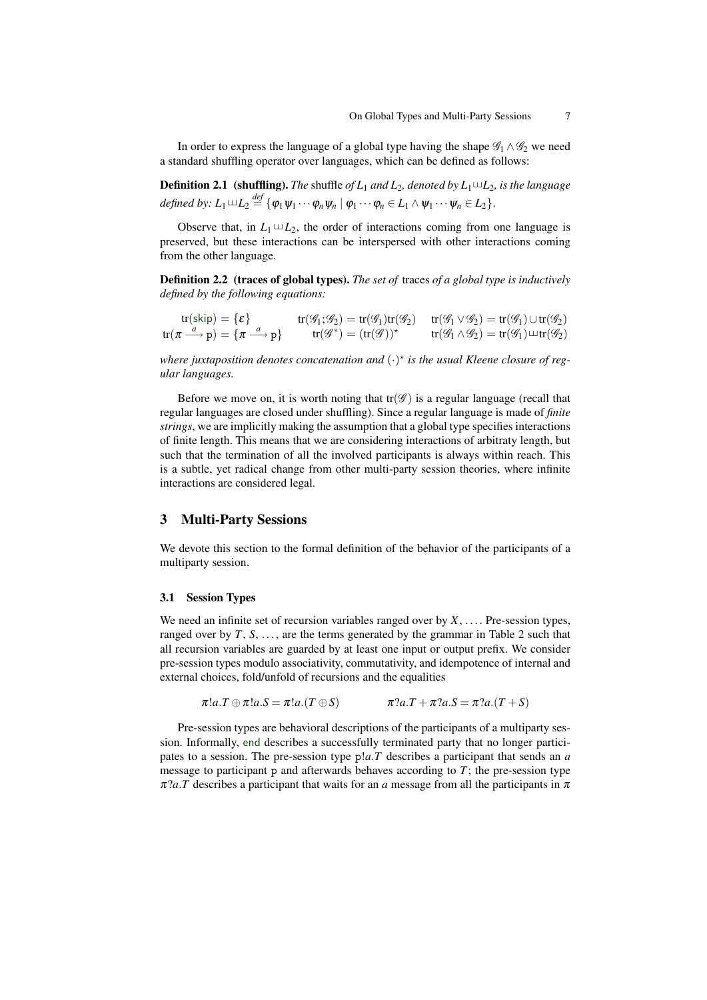In order to express the language of a global type having the shape  $\mathscr{G}_1 \wedge \mathscr{G}_2$  we need a standard shuffling operator over languages, which can be defined as follows:

**Definition 2.1** (shuffling). The shuffle of  $L_1$  and  $L_2$ , denoted by  $L_1 \sqcup L_2$ , is the language  $\emph{defined by:}\ \ L_1\sqcup\!\!\!\!\sqcup L_2\stackrel{\emph{def}}{=} \{\varphi_1\psi_1\cdots\varphi_n\psi_n\mid \varphi_1\cdots\varphi_n\in L_1\wedge\psi_1\cdots\psi_n\in L_2\}.$ 

Observe that, in  $L_1 \sqcup L_2$ , the order of interactions coming from one language is preserved, but these interactions can be interspersed with other interactions coming from the other language.

Definition 2.2 (traces of global types). *The set of* traces *of a global type is inductively defined by the following equations:*

$$
\begin{array}{ll}\mathrm{tr}(\mathrm{skip})=\{\epsilon\}&\mathrm{tr}(\mathscr{G}_1;\mathscr{G}_2)=\mathrm{tr}(\mathscr{G}_1)\mathrm{tr}(\mathscr{G}_2)&\mathrm{tr}(\mathscr{G}_1\vee\mathscr{G}_2)=\mathrm{tr}(\mathscr{G}_1)\cup\mathrm{tr}(\mathscr{G}_2)\\\mathrm{tr}(\pi\stackrel{a}{\longrightarrow}p)=\{\pi\stackrel{a}{\longrightarrow}p\}&\mathrm{tr}(\mathscr{G}^*)=(\mathrm{tr}(\mathscr{G}))^\star&\mathrm{tr}(\mathscr{G}_1\wedge\mathscr{G}_2)=\mathrm{tr}(\mathscr{G}_1)\sqcup\mathrm{tr}(\mathscr{G}_2)\end{array}
$$

where juxtaposition denotes concatenation and  $(\cdot)^*$  is the usual Kleene closure of reg*ular languages.*

Before we move on, it is worth noting that  $tr(\mathscr{G})$  is a regular language (recall that regular languages are closed under shuffling). Since a regular language is made of *finite strings*, we are implicitly making the assumption that a global type specifies interactions of finite length. This means that we are considering interactions of arbitraty length, but such that the termination of all the involved participants is always within reach. This is a subtle, yet radical change from other multi-party session theories, where infinite interactions are considered legal.

### 3 Multi-Party Sessions

We devote this section to the formal definition of the behavior of the participants of a multiparty session.

### 3.1 Session Types

We need an infinite set of recursion variables ranged over by *X*, ..., Pre-session types, ranged over by  $T$ ,  $S$ , ..., are the terms generated by the grammar in Table 2 such that all recursion variables are guarded by at least one input or output prefix. We consider pre-session types modulo associativity, commutativity, and idempotence of internal and external choices, fold/unfold of recursions and the equalities

$$
\pi!a.T \oplus \pi!a.S = \pi!a.(T \oplus S) \qquad \qquad \pi?a.T + \pi?a.S = \pi?a.(T + S)
$$

Pre-session types are behavioral descriptions of the participants of a multiparty session. Informally, end describes a successfully terminated party that no longer participates to a session. The pre-session type p!*a*.*T* describes a participant that sends an *a* message to participant  $p$  and afterwards behaves according to  $T$ ; the pre-session type  $\pi$ ?*a*.*T* describes a participant that waits for an *a* message from all the participants in  $\pi$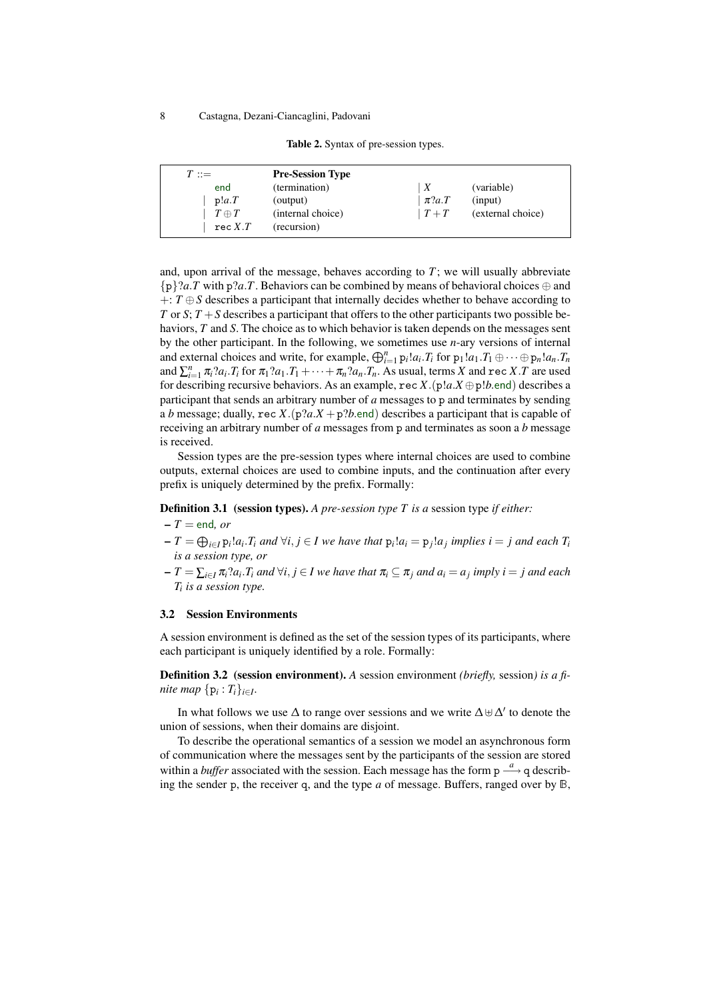| $T ::=$                  | <b>Pre-Session Type</b> |            |                   |
|--------------------------|-------------------------|------------|-------------------|
| end                      | (termination)           | X          | (variable)        |
| p!a.T                    | (output)                | $\pi$ ?a.T | (input)           |
| $T \oplus T$             | (internal choice)       | $T+T$      | (external choice) |
| $\operatorname{rec} X.T$ | (recursion)             |            |                   |

Table 2. Syntax of pre-session types.

and, upon arrival of the message, behaves according to *T*; we will usually abbreviate  $\{p\}$ ?*a.T* with p?*a.T*. Behaviors can be combined by means of behavioral choices  $\oplus$  and +: *T* ⊕*S* describes a participant that internally decides whether to behave according to *T* or *S*;  $T + S$  describes a participant that offers to the other participants two possible behaviors, *T* and *S*. The choice as to which behavior is taken depends on the messages sent by the other participant. In the following, we sometimes use *n*-ary versions of internal and external choices and write, for example,  $\bigoplus_{i=1}^{n} p_i! a_i \cdot T_i$  for  $p_1! a_1 \cdot T_1 \oplus \cdots \oplus p_n! a_n \cdot T_n$ and  $\sum_{i=1}^{n} \pi_i? a_i \cdot T_i$  for  $\pi_1? a_1 \cdot T_1 + \cdots + \pi_n? a_n \cdot T_n$ . As usual, terms *X* and rec *X*. *T* are used for describing recursive behaviors. As an example,  $\text{rec } X.(\text{p}*a*,X \oplus \text{p}*b*.end)$  describes a participant that sends an arbitrary number of *a* messages to p and terminates by sending a *b* message; dually, rec  $X.(p?a.X + p?b)$ .end) describes a participant that is capable of receiving an arbitrary number of *a* messages from p and terminates as soon a *b* message is received.

Session types are the pre-session types where internal choices are used to combine outputs, external choices are used to combine inputs, and the continuation after every prefix is uniquely determined by the prefix. Formally:

Definition 3.1 (session types). *A pre-session type T is a* session type *if either:*

- $-T =$ end, *or*
- $-T=\bigoplus_{i\in I}p_i!a_i.T_i$  and  $\forall i,j\in I$  we have that  $p_i!a_i=p_j!a_j$  implies  $i=j$  and each  $T_i$ *is a session type, or*
- $-T=\sum_{i\in I}\pi_i?a_i.T_i$  and  $\forall i,j\in I$  we have that  $\pi_i\subseteq \pi_j$  and  $a_i=a_j$  imply  $i=j$  and each *Ti is a session type.*

#### 3.2 Session Environments

A session environment is defined as the set of the session types of its participants, where each participant is uniquely identified by a role. Formally:

**Definition 3.2** (session environment). A session environment *(briefly, session) is a finite map*  $\{p_i : T_i\}_{i \in I}$ .

In what follows we use  $\Delta$  to range over sessions and we write  $\Delta \uplus \Delta'$  to denote the union of sessions, when their domains are disjoint.

To describe the operational semantics of a session we model an asynchronous form of communication where the messages sent by the participants of the session are stored within a *buffer* associated with the session. Each message has the form  $p \stackrel{a}{\longrightarrow} q$  describing the sender p, the receiver q, and the type *a* of message. Buffers, ranged over by B,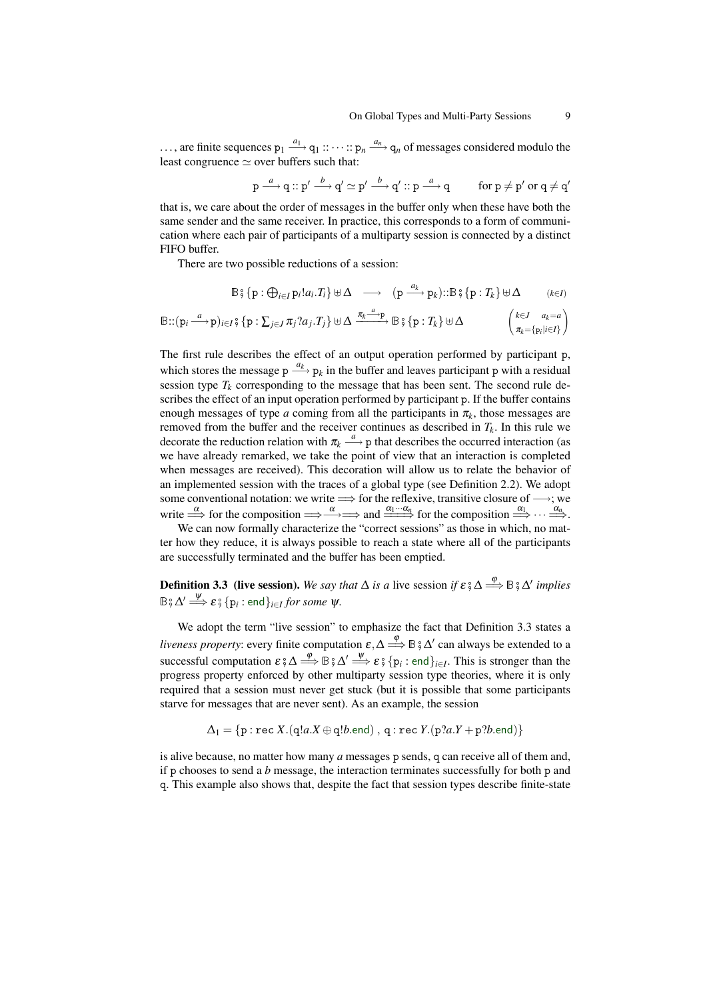..., are finite sequences  $p_1 \stackrel{a_1}{\longrightarrow} q_1 :: \cdots :: p_n \stackrel{a_n}{\longrightarrow} q_n$  of messages considered modulo the least congruence  $\simeq$  over buffers such that:

$$
p \xrightarrow{a} q :: p' \xrightarrow{b} q' \simeq p' \xrightarrow{b} q' :: p \xrightarrow{a} q \qquad \text{for } p \neq p' \text{ or } q \neq q'
$$

that is, we care about the order of messages in the buffer only when these have both the same sender and the same receiver. In practice, this corresponds to a form of communication where each pair of participants of a multiparty session is connected by a distinct FIFO buffer.

There are two possible reductions of a session:

$$
\mathbb{B}\S \{p: \bigoplus_{i \in I} p_i! a_i.T_i\} \uplus \Delta \longrightarrow (p \xrightarrow{a_k} p_k) :: \mathbb{B}\S \{p: T_k\} \uplus \Delta \qquad (\text{ker})
$$

$$
\mathbb{B}::(p_i \stackrel{a}{\longrightarrow} p)_{i \in I} \, \S \, \{p : \sum_{j \in J} \pi_j ? a_j . T_j\} \uplus \Delta \xrightarrow{\pi_k \stackrel{a}{\longrightarrow} p} \mathbb{B} \, \S \, \{p : T_k\} \uplus \Delta \qquad \qquad \left(\begin{matrix} k \in J & a_k = a \\ \pi_k = \{p_i | i \in I\} \end{matrix}\right)
$$

The first rule describes the effect of an output operation performed by participant p, which stores the message p  $\frac{a_k}{\rightarrow} p_k$  in the buffer and leaves participant p with a residual session type  $T_k$  corresponding to the message that has been sent. The second rule describes the effect of an input operation performed by participant p. If the buffer contains enough messages of type  $a$  coming from all the participants in  $\pi_k$ , those messages are removed from the buffer and the receiver continues as described in *T<sup>k</sup>* . In this rule we decorate the reduction relation with  $\pi_k \stackrel{a}{\longrightarrow} p$  that describes the occurred interaction (as we have already remarked, we take the point of view that an interaction is completed when messages are received). This decoration will allow us to relate the behavior of an implemented session with the traces of a global type (see Definition 2.2). We adopt some conventional notation: we write  $\Longrightarrow$  for the reflexive, transitive closure of  $\longrightarrow$ ; we write  $\stackrel{\alpha}{\Longrightarrow}$  for the composition  $\Longrightarrow \stackrel{\alpha}{\Longrightarrow}$  and  $\stackrel{\alpha_1 \cdots \alpha_n}{\Longrightarrow}$  for the composition  $\stackrel{\alpha_1}{\Longrightarrow} \cdots \stackrel{\alpha_n}{\Longrightarrow}$ .

We can now formally characterize the "correct sessions" as those in which, no matter how they reduce, it is always possible to reach a state where all of the participants are successfully terminated and the buffer has been emptied.

**Definition 3.3** (live session). We say that  $\Delta$  *is a* live session *if*  $\epsilon \s$ ,  $\Delta \stackrel{\varphi}{\Longrightarrow} \mathbb{B} \s$ ,  $\Delta'$  *implies*  $\mathbb{B} \mathcal{L} \triangleleft \xrightarrow{\Psi} \varepsilon \mathcal{L} \mathcal{L} \left\{ \mathbf{p}_i : \mathsf{end} \right\} _{i \in I} \text{ for some } \Psi.$ 

We adopt the term "live session" to emphasize the fact that Definition 3.3 states a *liveness property*: every finite computation  $\varepsilon, \Delta \xrightarrow{\phi} \mathbb{B} \S \Delta'$  can always be extended to a successful computation  $\varepsilon$ ,  $\frac{\phi}{\sqrt{2}} \in \mathbb{B}$ ,  $\frac{\psi}{\sqrt{2}} \in \mathbb{S}$ ,  $\{p_i : \text{end}\}_{i \in I}$ . This is stronger than the progress property enforced by other multiparty session type theories, where it is only required that a session must never get stuck (but it is possible that some participants starve for messages that are never sent). As an example, the session

$$
\Delta_1 = \{p : \text{rec } X. (q!a.X \oplus q!b.\text{end}) , q : \text{rec } Y. (p?a.Y + p?b.\text{end})\}
$$

is alive because, no matter how many *a* messages p sends, q can receive all of them and, if p chooses to send a *b* message, the interaction terminates successfully for both p and q. This example also shows that, despite the fact that session types describe finite-state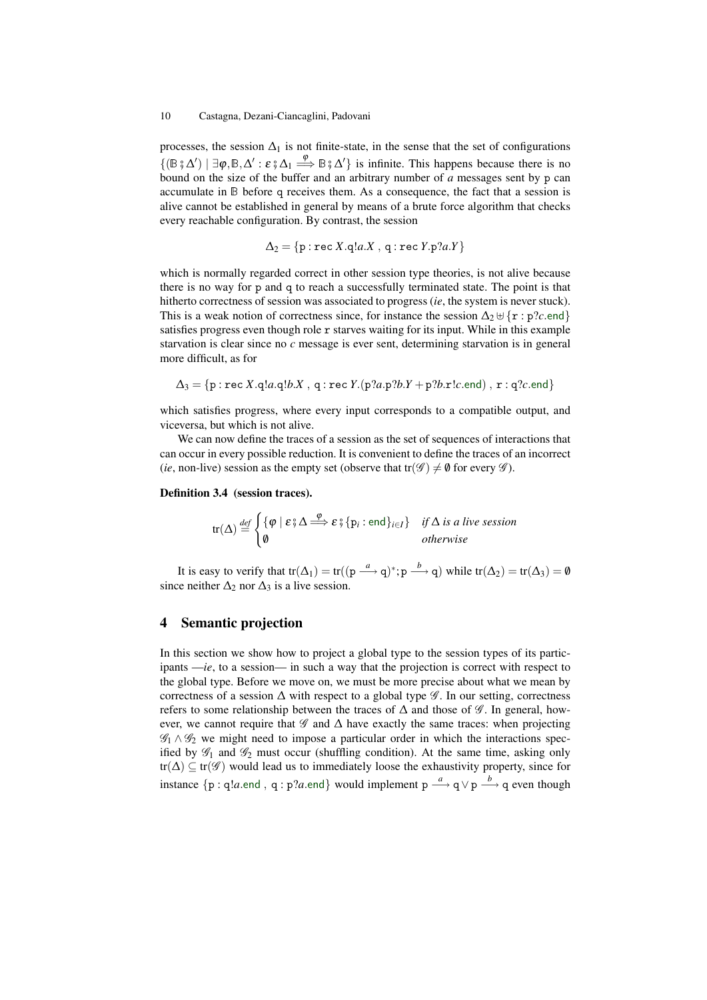processes, the session  $\Delta_1$  is not finite-state, in the sense that the set of configurations  $\{(\mathbb{B} \circ \Delta') \mid \exists \varphi, \mathbb{B}, \Delta' : \varepsilon \circ \Delta_1 \xrightarrow{\varphi} \mathbb{B} \circ \Delta' \}$  is infinite. This happens because there is no<br>bound on the size of the buffer and an arbitrary number of a massages sent by p can bound on the size of the buffer and an arbitrary number of *a* messages sent by p can accumulate in B before q receives them. As a consequence, the fact that a session is alive cannot be established in general by means of a brute force algorithm that checks every reachable configuration. By contrast, the session

$$
\Delta_2 = \{ \texttt{p} : \texttt{rec } X. \texttt{q}.a.X \; , \; \texttt{q} : \texttt{rec } Y. \texttt{p}.a.Y \}
$$

which is normally regarded correct in other session type theories, is not alive because there is no way for p and q to reach a successfully terminated state. The point is that hitherto correctness of session was associated to progress (*ie*, the system is never stuck). This is a weak notion of correctness since, for instance the session  $\Delta_2 \uplus {\tau : p?c$  end satisfies progress even though role  $r$  starves waiting for its input. While in this example starvation is clear since no *c* message is ever sent, determining starvation is in general more difficult, as for

$$
\Delta_3=\left\{\texttt{p:rec}\ X.\texttt{q}!a.\texttt{q}!b.X\ ,\ \texttt{q:rec}\ Y.(\texttt{p}?a.\texttt{p}?b.Y+\texttt{p}?b.r!c.\texttt{end}\right),\ \texttt{r:q?c.end}\right\}
$$

which satisfies progress, where every input corresponds to a compatible output, and viceversa, but which is not alive.

We can now define the traces of a session as the set of sequences of interactions that can occur in every possible reduction. It is convenient to define the traces of an incorrect *(ie, non-live)* session as the empty set (observe that  $tr(\mathscr{G}) \neq \emptyset$  for every  $\mathscr{G}$ ).

#### Definition 3.4 (session traces).

$$
\operatorname{tr}(\Delta) \stackrel{\text{def}}{=} \begin{cases} \{\varphi \mid \varepsilon \, ; \Delta \stackrel{\varphi}{\Longrightarrow} \varepsilon \, ; \{p_i : \text{end}\}_{i \in I} \} & \text{if } \Delta \text{ is a live session} \\ \emptyset & \text{otherwise} \end{cases}
$$

It is easy to verify that  $tr(\Delta_1) = tr((p \xrightarrow{a} q)^*; p \xrightarrow{b} q)$  while  $tr(\Delta_2) = tr(\Delta_3) = \emptyset$ since neither  $\Delta_2$  nor  $\Delta_3$  is a live session.

## 4 Semantic projection

In this section we show how to project a global type to the session types of its participants —*ie*, to a session— in such a way that the projection is correct with respect to the global type. Before we move on, we must be more precise about what we mean by correctness of a session  $\Delta$  with respect to a global type  $\mathscr G$ . In our setting, correctness refers to some relationship between the traces of  $\Delta$  and those of  $\mathscr G$ . In general, however, we cannot require that  $\mathscr G$  and  $\Delta$  have exactly the same traces: when projecting  $\mathscr{G}_1 \wedge \mathscr{G}_2$  we might need to impose a particular order in which the interactions specified by  $\mathscr{G}_1$  and  $\mathscr{G}_2$  must occur (shuffling condition). At the same time, asking only  $tr(\Delta) \subseteq tr(\mathscr{G})$  would lead us to immediately loose the exhaustivity property, since for instance  $\{p : q!a$  end,  $q : p?a$  end} would implement  $p \stackrel{a}{\longrightarrow} q \vee p \stackrel{b}{\longrightarrow} q$  even though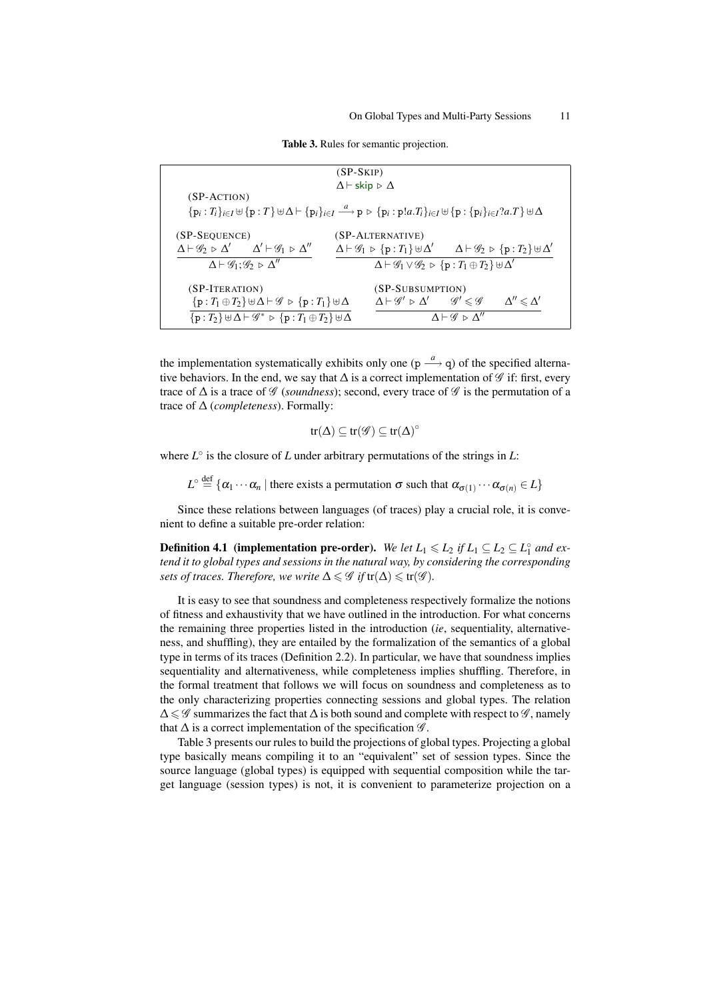|                                                                                                                      | $(SP-SKIP)$                                                                                                                                                                   |
|----------------------------------------------------------------------------------------------------------------------|-------------------------------------------------------------------------------------------------------------------------------------------------------------------------------|
|                                                                                                                      | $\Delta \vdash$ skip $\triangleright \Delta$                                                                                                                                  |
| (SP-ACTION)                                                                                                          |                                                                                                                                                                               |
|                                                                                                                      | $\{p_i: T_i\}_{i\in I} \cup \{p: T\} \cup \Delta \vdash \{p_i\}_{i\in I} \stackrel{a}{\longrightarrow} p \triangleright \{p_i:p!a.T_i\}_{i\in I} \cup \{p: \{p_i\}_{i\in I}.$ |
| (SP-SEQUENCE)                                                                                                        | (SP-ALTERNATIVE)                                                                                                                                                              |
| $\Delta \vdash \mathscr{G}_2 \triangleright \Delta' \qquad \Delta' \vdash \mathscr{G}_1 \triangleright \Delta''$     | $\Delta \vdash \mathscr{G}_1 \triangleright \{\mathsf{p}:T_1\} \uplus \Delta' \qquad \Delta \vdash \mathscr{G}_2 \triangleright \{\mathsf{p}:T_2\} \uplus \Delta'$            |
| $\Delta \vdash \mathscr{G}_1; \mathscr{G}_2 \triangleright \Delta''$                                                 | $\Delta \vdash \mathscr{G}_1 \vee \mathscr{G}_2 \triangleright \{\mathsf{p}: T_1 \oplus T_2\} \uplus \Delta'$                                                                 |
| (SP-ITERATION)                                                                                                       | (SP-SUBSUMPTION)                                                                                                                                                              |
| $\{\mathbf p: T_1 \oplus T_2\} \boxplus \Delta \vdash \mathscr{G} \triangleright \{\mathbf p: T_1\} \boxplus \Delta$ | $\Delta \vdash \mathscr{G}' \triangleright \Delta'$ $\mathscr{G}' \leqslant \mathscr{G}$<br>$\Delta'' \leq \Delta'$                                                           |
| $\{p: T_2\} \boxplus \Delta \vdash \mathscr{G}^* \triangleright \{p: T_1 \oplus T_2\} \boxplus \Delta$               | $\Lambda \vdash \mathscr{G} \triangleright \Lambda''$                                                                                                                         |

Table 3. Rules for semantic projection.

the implementation systematically exhibits only one ( $p \stackrel{a}{\longrightarrow} q$ ) of the specified alternative behaviors. In the end, we say that  $\Delta$  is a correct implementation of  $\mathscr G$  if: first, every trace of  $\Delta$  is a trace of  $\mathscr G$  (*soundness*); second, every trace of  $\mathscr G$  is the permutation of a trace of ∆ (*completeness*). Formally:

$$
\operatorname{tr}(\Delta) \subseteq \operatorname{tr}(\mathscr{G}) \subseteq \operatorname{tr}(\Delta)^\circ
$$

where  $L^{\circ}$  is the closure of *L* under arbitrary permutations of the strings in *L*:

 $L^{\circ} \stackrel{\text{def}}{=} {\alpha_1 \cdots \alpha_n \mid \text{there exists a permutation } \sigma \text{ such that } \alpha_{\sigma(1)} \cdots \alpha_{\sigma(n)} \in L}$ 

Since these relations between languages (of traces) play a crucial role, it is convenient to define a suitable pre-order relation:

**Definition 4.1** (implementation pre-order). We let  $L_1 \le L_2$  if  $L_1 \subseteq L_2 \subseteq L_1^{\circ}$  and ex*tend it to global types and sessions in the natural way, by considering the corresponding sets of traces. Therefore, we write*  $\Delta \leqslant \mathcal{G}$  *if*  $tr(\Delta) \leqslant tr(\mathcal{G})$ *.* 

It is easy to see that soundness and completeness respectively formalize the notions of fitness and exhaustivity that we have outlined in the introduction. For what concerns the remaining three properties listed in the introduction (*ie*, sequentiality, alternativeness, and shuffling), they are entailed by the formalization of the semantics of a global type in terms of its traces (Definition 2.2). In particular, we have that soundness implies sequentiality and alternativeness, while completeness implies shuffling. Therefore, in the formal treatment that follows we will focus on soundness and completeness as to the only characterizing properties connecting sessions and global types. The relation  $\Delta \leqslant \mathscr{G}$  summarizes the fact that  $\Delta$  is both sound and complete with respect to  $\mathscr{G}$ , namely that  $\Delta$  is a correct implementation of the specification  $\mathscr{G}$ .

Table 3 presents our rules to build the projections of global types. Projecting a global type basically means compiling it to an "equivalent" set of session types. Since the source language (global types) is equipped with sequential composition while the target language (session types) is not, it is convenient to parameterize projection on a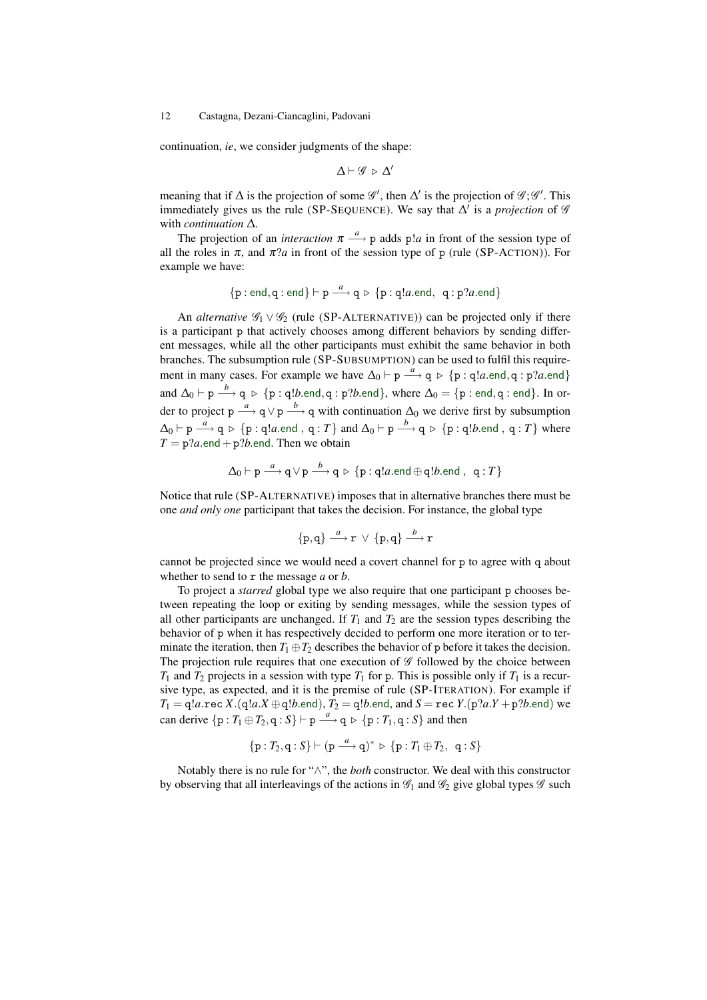continuation, *ie*, we consider judgments of the shape:

$$
\Delta \vdash \mathscr{G} \, \triangleright \, \Delta'
$$

meaning that if  $\Delta$  is the projection of some  $\mathscr{G}'$ , then  $\Delta'$  is the projection of  $\mathscr{G}$ ;  $\mathscr{G}'$ . This immediately gives us the rule (SP-SEQUENCE). We say that  $\Delta'$  is a *projection* of  $\mathcal G$ with *continuation* ∆.

The projection of an *interaction*  $\pi \stackrel{a}{\longrightarrow} p$  adds p!*a* in front of the session type of all the roles in  $\pi$ , and  $\pi$ ?*a* in front of the session type of p (rule (SP-ACTION)). For example we have:

$$
\{p:\text{end},q:\text{end}\}\vdash p \stackrel{a}{\longrightarrow} q \triangleright \{p:q!a.\text{end},\ q:p?a.\text{end}\}
$$

An *alternative*  $\mathscr{G}_1 \vee \mathscr{G}_2$  (rule (SP-ALTERNATIVE)) can be projected only if there is a participant p that actively chooses among different behaviors by sending different messages, while all the other participants must exhibit the same behavior in both branches. The subsumption rule (SP-SUBSUMPTION) can be used to fulfil this requirement in many cases. For example we have  $\Delta_0 \vdash p \stackrel{a}{\longrightarrow} q \triangleright \{p : q!a$ .end, q : p?*a*.end} and  $\Delta_0 \vdash p \stackrel{b}{\longrightarrow} q\ \triangleright\ \{p:q!b.\textsf{end},q:p?b.\textsf{end}\},$  where  $\Delta_0=\{p:\textsf{end},q:\textsf{end}\}.$  In order to project p  $\stackrel{a}{\longrightarrow} q \vee p \stackrel{b}{\longrightarrow} q$  with continuation  $\Delta_0$  we derive first by subsumption  $\Delta_0 \vdash p \stackrel{a}{\longrightarrow} q \mathrel{\triangleright} \{p : q!a.$ end  $, \, q : T\}$  and  $\Delta_0 \vdash p \stackrel{b}{\longrightarrow} q \mathrel{\triangleright} \{p : q!b.$ end  $, \, q : T\}$  where  $T = p$ ?*a*.end + p?*b*.end. Then we obtain

$$
\Delta_0 \vdash \mathtt{p} \stackrel{a}{\longrightarrow} \mathtt{q} \lor \mathtt{p} \stackrel{b}{\longrightarrow} \mathtt{q} \mathrel{\triangleright} \{\mathtt{p} \mathbin{:} \mathtt{q}!a.\mathtt{end} \oplus \mathtt{q}!b.\mathtt{end} \ , \ \mathtt{q}:T \}
$$

Notice that rule (SP-ALTERNATIVE) imposes that in alternative branches there must be one *and only one* participant that takes the decision. For instance, the global type

$$
\{\mathrm{p},\mathrm{q}\} \stackrel{a}{\longrightarrow} \mathrm{r} \ \lor \ \{\mathrm{p},\mathrm{q}\} \stackrel{b}{\longrightarrow} \mathrm{r}
$$

cannot be projected since we would need a covert channel for p to agree with q about whether to send to r the message *a* or *b*.

To project a *starred* global type we also require that one participant p chooses between repeating the loop or exiting by sending messages, while the session types of all other participants are unchanged. If  $T_1$  and  $T_2$  are the session types describing the behavior of p when it has respectively decided to perform one more iteration or to terminate the iteration, then  $T_1 \oplus T_2$  describes the behavior of p before it takes the decision. The projection rule requires that one execution of  $\mathscr G$  followed by the choice between  $T_1$  and  $T_2$  projects in a session with type  $T_1$  for p. This is possible only if  $T_1$  is a recursive type, as expected, and it is the premise of rule (SP-ITERATION). For example if  $T_1 =$  q! $a$ .rec  $X$ .(q! $a$ . $X$   $\oplus$  q! $b$ .end),  $T_2 =$  q! $b$ .end, and  $S =$  rec  $Y$ .(p? $a$ . $Y +$  p? $b$ .end) we can derive  $\{p : T_1 \oplus T_2, q : S\} \vdash p \stackrel{a}{\longrightarrow} q \triangleright \{p : T_1, q : S\}$  and then

$$
\{p:T_2,q:S\} \vdash (p \stackrel{a}{\longrightarrow} q)^* \, \triangleright \, \{p:T_1 \oplus T_2, \ q:S\}
$$

Notably there is no rule for "∧", the *both* constructor. We deal with this constructor by observing that all interleavings of the actions in  $\mathscr{G}_1$  and  $\mathscr{G}_2$  give global types  $\mathscr{G}$  such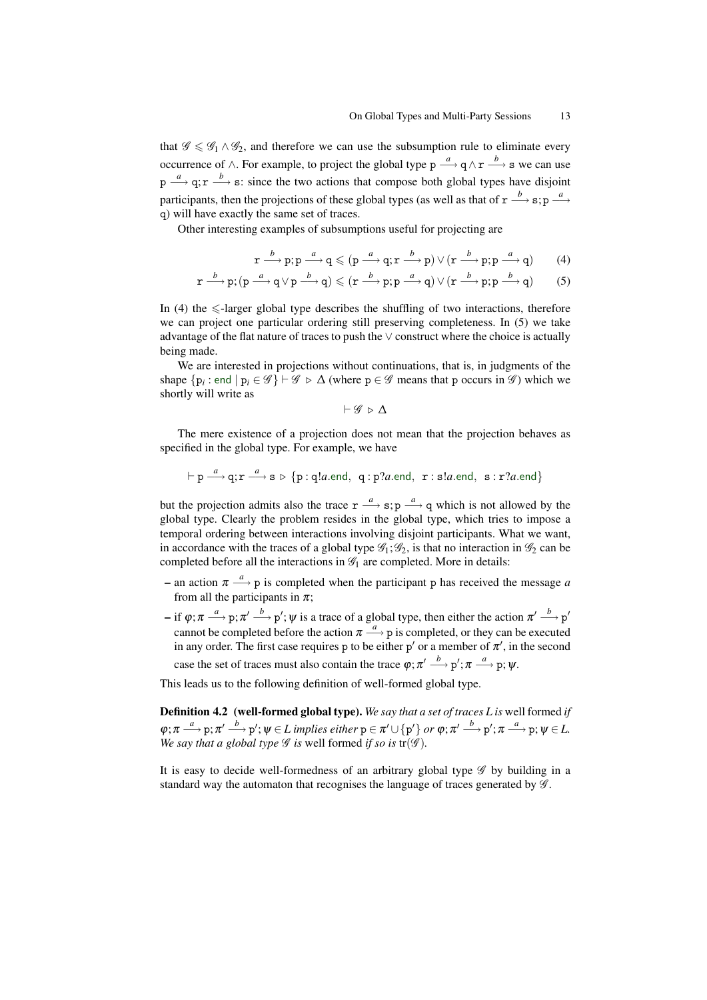that  $\mathscr{G} \leq \mathscr{G}_1 \wedge \mathscr{G}_2$ , and therefore we can use the subsumption rule to eliminate every occurrence of  $\wedge$ . For example, to project the global type p  $\stackrel{a}{\longrightarrow} q \wedge r \stackrel{b}{\longrightarrow} s$  we can use  $p \stackrel{a}{\longrightarrow} q; r \stackrel{b}{\longrightarrow} s$ : since the two actions that compose both global types have disjoint participants, then the projections of these global types (as well as that of  $r \stackrel{b}{\longrightarrow} s$ ;  $p \stackrel{a}{\longrightarrow}$ q) will have exactly the same set of traces.

Other interesting examples of subsumptions useful for projecting are

r

$$
\texttt{r}\overset{b}{\longrightarrow} \texttt{p}; \texttt{p}\overset{a}{\longrightarrow} \texttt{q} \leqslant (\texttt{p}\overset{a}{\longrightarrow} \texttt{q}; \texttt{r}\overset{b}{\longrightarrow} \texttt{p}) \vee (\texttt{r}\overset{b}{\longrightarrow} \texttt{p}; \texttt{p}\overset{a}{\longrightarrow} \texttt{q}) \qquad (4)
$$

$$
\stackrel{b}{\longrightarrow} \mathrm{p}; (\mathrm{p} \stackrel{a}{\longrightarrow} \mathrm{q} \vee \mathrm{p} \stackrel{b}{\longrightarrow} \mathrm{q}) \leqslant (\mathrm{r} \stackrel{b}{\longrightarrow} \mathrm{p}; \mathrm{p} \stackrel{a}{\longrightarrow} \mathrm{q}) \vee (\mathrm{r} \stackrel{b}{\longrightarrow} \mathrm{p}; \mathrm{p} \stackrel{b}{\longrightarrow} \mathrm{q}) \hspace{1cm} (5)
$$

In (4) the  $\leq$ -larger global type describes the shuffling of two interactions, therefore we can project one particular ordering still preserving completeness. In (5) we take advantage of the flat nature of traces to push the  $\vee$  construct where the choice is actually being made.

We are interested in projections without continuations, that is, in judgments of the shape  $\{p_i : \text{end} \mid p_i \in \mathscr{G}\}\vdash \mathscr{G} \circ \Delta$  (where  $p \in \mathscr{G}$  means that p occurs in  $\mathscr{G}$ ) which we shortly will write as

 $\vdash \mathscr{G} \triangleright \Delta$ 

The mere existence of a projection does not mean that the projection behaves as specified in the global type. For example, we have

 $\vdash$  p  $\stackrel{a}{\longrightarrow}$  q;r  $\stackrel{a}{\longrightarrow}$  s  $\triangleright$  {p : q!*a*.end, q : p?*a*.end, r : s!*a*.end, s : r?*a*.end}

but the projection admits also the trace  $r \stackrel{a}{\longrightarrow} s$ ;  $p \stackrel{a}{\longrightarrow} q$  which is not allowed by the global type. Clearly the problem resides in the global type, which tries to impose a temporal ordering between interactions involving disjoint participants. What we want, in accordance with the traces of a global type  $\mathcal{G}_1$ ;  $\mathcal{G}_2$ , is that no interaction in  $\mathcal{G}_2$  can be completed before all the interactions in  $\mathcal{G}_1$  are completed. More in details:

- $-\infty$  an action  $\pi \stackrel{a}{\longrightarrow} p$  is completed when the participant p has received the message *a* from all the participants in  $\pi$ ;
- $-\text{ if } \varphi; \pi \stackrel{a}{\longrightarrow} \text{p}; \pi' \stackrel{b}{\longrightarrow} \text{p'}; \psi \text{ is a trace of a global type, then either the action } \pi' \stackrel{b}{\longrightarrow} \text{p'}$ cannot be completed before the action  $\pi \stackrel{a}{\longrightarrow} p$  is completed, or they can be executed in any order. The first case requires p to be either  $p'$  or a member of  $\pi'$ , in the second case the set of traces must also contain the trace  $\varphi$ ;  $\pi' \stackrel{b}{\longrightarrow} p'$ ;  $\pi \stackrel{a}{\longrightarrow} p$ ;  $\psi$ .

This leads us to the following definition of well-formed global type.

Definition 4.2 (well-formed global type). *We say that a set of traces L is* well formed *if*  $\varphi; \pi \stackrel{a}{\longrightarrow} {\rm p}; \pi' \stackrel{b}{\longrightarrow} {\rm p}'; \psi \in L$  implies either  ${\rm p} \in \pi' \cup \{{\rm p'}\}$  or  $\varphi; \pi' \stackrel{b}{\longrightarrow} {\rm p'}; \pi \stackrel{a}{\longrightarrow} {\rm p}; \psi \in L$ . *We say that a global type*  $\mathscr G$  *is* well formed *if so is* tr( $\mathscr G$ )*.* 

It is easy to decide well-formedness of an arbitrary global type  $\mathscr G$  by building in a standard way the automaton that recognises the language of traces generated by  $\mathscr{G}$ .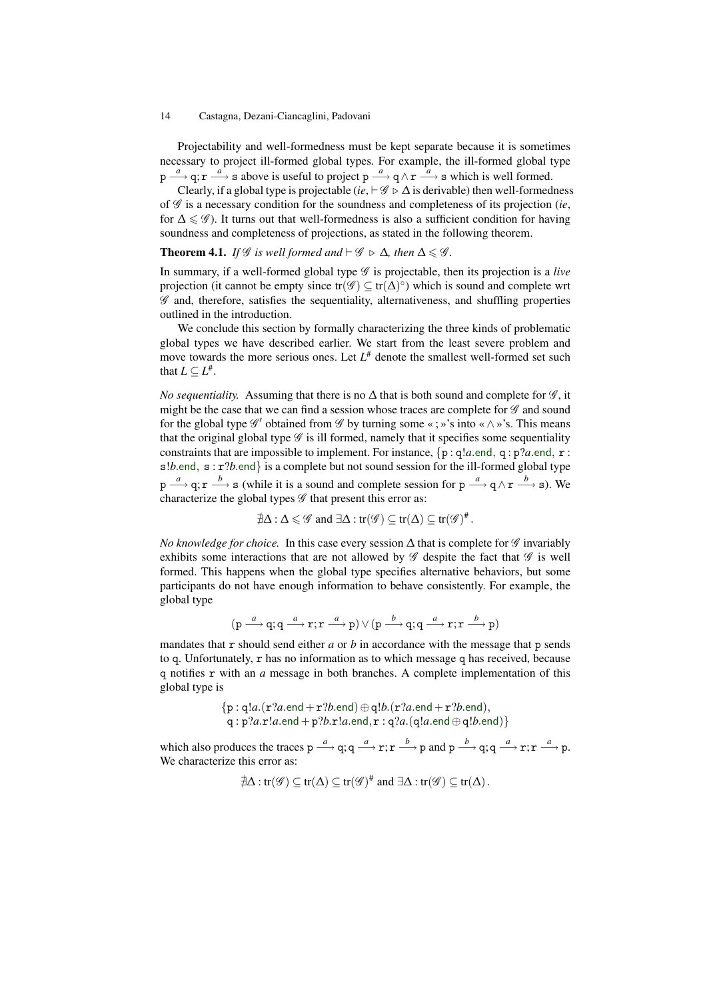Projectability and well-formedness must be kept separate because it is sometimes necessary to project ill-formed global types. For example, the ill-formed global type  $p \stackrel{a}{\longrightarrow} q; r \stackrel{a}{\longrightarrow} s$  above is useful to project  $p \stackrel{a}{\longrightarrow} q \wedge r \stackrel{a}{\longrightarrow} s$  which is well formed.

Clearly, if a global type is projectable ( $ie, \vdash \mathscr{G} \triangleright \Delta$  is derivable) then well-formedness of G is a necessary condition for the soundness and completeness of its projection (*ie*, for  $\Delta \leqslant \mathscr{G}$ ). It turns out that well-formedness is also a sufficient condition for having soundness and completeness of projections, as stated in the following theorem.

### **Theorem 4.1.** *If*  $\mathscr G$  *is well formed and*  $\vdash \mathscr G \triangleright \Delta$ *, then*  $\Delta \leq \mathscr G$ *.*

In summary, if a well-formed global type  $\mathscr G$  is projectable, then its projection is a *live* projection (it cannot be empty since  $tr(\mathscr{G}) \subseteq tr(\Delta)^\circ$ ) which is sound and complete wrt  $G$  and, therefore, satisfies the sequentiality, alternativeness, and shuffling properties outlined in the introduction.

We conclude this section by formally characterizing the three kinds of problematic global types we have described earlier. We start from the least severe problem and move towards the more serious ones. Let *L* # denote the smallest well-formed set such that  $L \subseteq L^{\#}.$ 

*No sequentiality.* Assuming that there is no  $\Delta$  that is both sound and complete for  $\mathscr{G}$ , it might be the case that we can find a session whose traces are complete for  $\mathscr G$  and sound for the global type  $\mathscr{G}'$  obtained from  $\mathscr{G}$  by turning some «; »'s into «  $\wedge$  »'s. This means that the original global type  $\mathscr G$  is ill formed, namely that it specifies some sequentiality constraints that are impossible to implement. For instance, {p : q!*a*.end, q : p?*a*.end, r : s!*b*.end, s: r?*b*.end} is a complete but not sound session for the ill-formed global type p  $\stackrel{a}{\longrightarrow}$  q; r  $\stackrel{b}{\longrightarrow}$  s (while it is a sound and complete session for p  $\stackrel{a}{\longrightarrow}$  q  $\wedge$  r  $\stackrel{b}{\longrightarrow}$  s). We characterize the global types  $\mathscr G$  that present this error as:

$$
\nexists \Delta : \Delta \leqslant \mathscr{G} \text{ and } \exists \Delta : \text{tr}(\mathscr{G}) \subseteq \text{tr}(\Delta) \subseteq \text{tr}(\mathscr{G})^{\#}.
$$

*No knowledge for choice.* In this case every session  $\Delta$  that is complete for *G* invariably exhibits some interactions that are not allowed by  $G$  despite the fact that  $G$  is well formed. This happens when the global type specifies alternative behaviors, but some participants do not have enough information to behave consistently. For example, the global type

$$
\big(\mathtt{p}\overset{a}{\longrightarrow}\mathtt{q};\mathtt{q}\overset{a}{\longrightarrow}\mathtt{r};\mathtt{r}\overset{a}{\longrightarrow}\mathtt{p}\big) \lor \big(\mathtt{p}\overset{b}{\longrightarrow}\mathtt{q};\mathtt{q}\overset{a}{\longrightarrow}\mathtt{r};\mathtt{r}\overset{b}{\longrightarrow}\mathtt{p}\big)
$$

mandates that  $r$  should send either  $a$  or  $b$  in accordance with the message that  $p$  sends to q. Unfortunately, r has no information as to which message q has received, because q notifies r with an *a* message in both branches. A complete implementation of this global type is

> ${p: q!a.(r?a.end + r?b.end) ⊕ q!b.(r?a.end + r?b.end)},$ q : p?*a*.r!*a*.end+p?*b*.r!*a*.end,r : q?*a*.(q!*a*.end⊕q!*b*.end)}

which also produces the traces  $p \stackrel{a}{\longrightarrow} q; q \stackrel{a}{\longrightarrow} r; r \stackrel{b}{\longrightarrow} p$  and  $p \stackrel{b}{\longrightarrow} q; q \stackrel{a}{\longrightarrow} r; r \stackrel{a}{\longrightarrow} p$ . We characterize this error as:

$$
\nexists \Delta : \text{tr}(\mathscr{G}) \subseteq \text{tr}(\Delta) \subseteq \text{tr}(\mathscr{G})^{\#} \text{ and } \exists \Delta : \text{tr}(\mathscr{G}) \subseteq \text{tr}(\Delta).
$$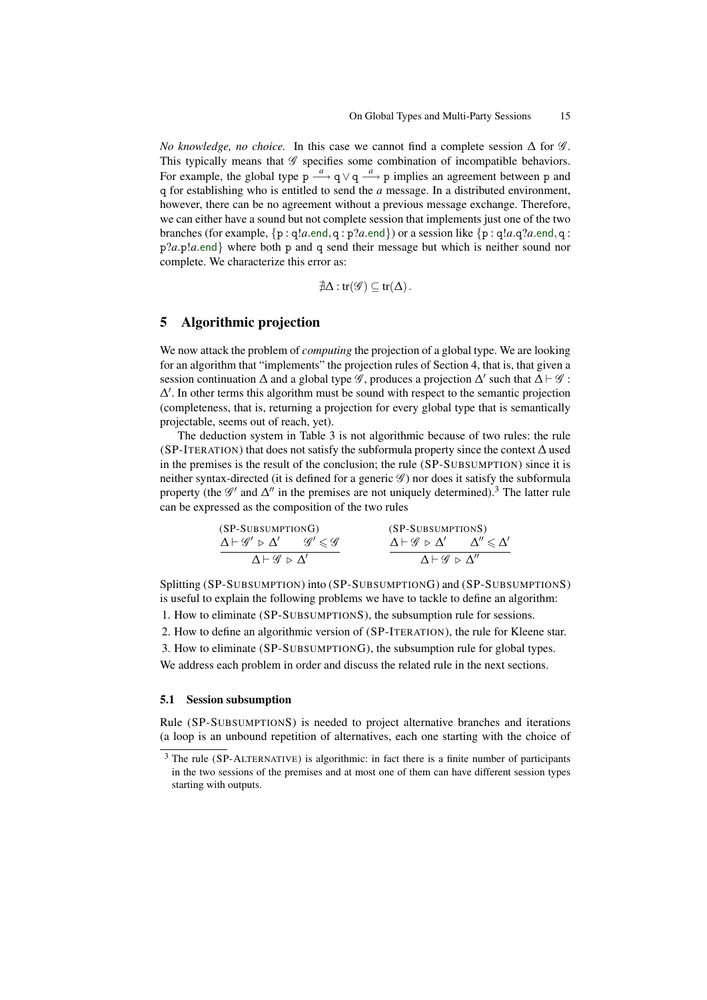*No knowledge, no choice.* In this case we cannot find a complete session ∆ for  $\mathscr G$ . This typically means that  $\mathscr G$  specifies some combination of incompatible behaviors. For example, the global type  $p \stackrel{a}{\longrightarrow} q \vee q \stackrel{a}{\longrightarrow} p$  implies an agreement between p and q for establishing who is entitled to send the *a* message. In a distributed environment, however, there can be no agreement without a previous message exchange. Therefore, we can either have a sound but not complete session that implements just one of the two branches (for example, {p : q!*a*.end,q : p?*a*.end}) or a session like {p : q!*a*.q?*a*.end,q : p?*a*.p!*a*.end} where both p and q send their message but which is neither sound nor complete. We characterize this error as:

$$
\nexists \Delta : \text{tr}(\mathscr{G}) \subseteq \text{tr}(\Delta).
$$

### 5 Algorithmic projection

We now attack the problem of *computing* the projection of a global type. We are looking for an algorithm that "implements" the projection rules of Section 4, that is, that given a session continuation  $\Delta$  and a global type  $\mathscr G$ , produces a projection  $\Delta'$  such that  $\Delta \vdash \mathscr G$ : ∆ 0 . In other terms this algorithm must be sound with respect to the semantic projection (completeness, that is, returning a projection for every global type that is semantically projectable, seems out of reach, yet).

The deduction system in Table 3 is not algorithmic because of two rules: the rule (SP-ITERATION) that does not satisfy the subformula property since the context ∆ used in the premises is the result of the conclusion; the rule (SP-SUBSUMPTION) since it is neither syntax-directed (it is defined for a generic  $\mathscr G$ ) nor does it satisfy the subformula property (the  $\mathscr{G}'$  and  $\Delta''$  in the premises are not uniquely determined).<sup>3</sup> The latter rule can be expressed as the composition of the two rules

$$
\begin{array}{ccc}\n\text{(SP-SUBSUMPITIONG)} & & & & \\
\Delta \vdash \mathcal{G}' \triangleright \Delta' & \mathcal{G}' \leq \mathcal{G} & & \\
\Delta \vdash \mathcal{G} \triangleright \Delta' & & \\
\Delta \vdash \mathcal{G} \triangleright \Delta' & & \\
\end{array}\n\qquad\n\begin{array}{ccc}\n\text{(SP-SUBSUMPITIONS)} & & \\
\Delta \vdash \mathcal{G} \triangleright \Delta' & & \\
\Delta \vdash \mathcal{G} \triangleright \Delta'' & & \\
\end{array}
$$

Splitting (SP-SUBSUMPTION) into (SP-SUBSUMPTIONG) and (SP-SUBSUMPTIONS) is useful to explain the following problems we have to tackle to define an algorithm:

1. How to eliminate (SP-SUBSUMPTIONS), the subsumption rule for sessions.

2. How to define an algorithmic version of (SP-ITERATION), the rule for Kleene star.

3. How to eliminate (SP-SUBSUMPTIONG), the subsumption rule for global types.

We address each problem in order and discuss the related rule in the next sections.

### 5.1 Session subsumption

Rule (SP-SUBSUMPTIONS) is needed to project alternative branches and iterations (a loop is an unbound repetition of alternatives, each one starting with the choice of

<sup>&</sup>lt;sup>3</sup> The rule (SP-ALTERNATIVE) is algorithmic: in fact there is a finite number of participants in the two sessions of the premises and at most one of them can have different session types starting with outputs.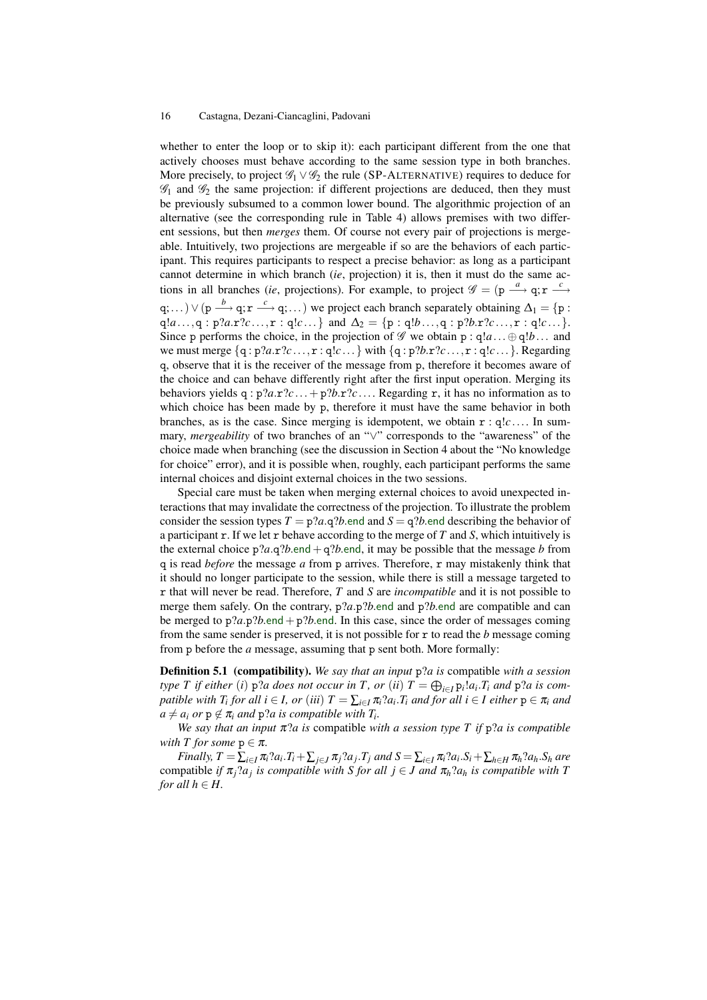whether to enter the loop or to skip it): each participant different from the one that actively chooses must behave according to the same session type in both branches. More precisely, to project  $\mathscr{G}_1 \vee \mathscr{G}_2$  the rule (SP-ALTERNATIVE) requires to deduce for  $\mathscr{G}_1$  and  $\mathscr{G}_2$  the same projection: if different projections are deduced, then they must be previously subsumed to a common lower bound. The algorithmic projection of an alternative (see the corresponding rule in Table 4) allows premises with two different sessions, but then *merges* them. Of course not every pair of projections is mergeable. Intuitively, two projections are mergeable if so are the behaviors of each participant. This requires participants to respect a precise behavior: as long as a participant cannot determine in which branch (*ie*, projection) it is, then it must do the same actions in all branches (*ie*, projections). For example, to project  $\mathscr{G} = (\mathbf{p} \stackrel{a}{\longrightarrow} \mathbf{q}; \mathbf{r} \stackrel{c}{\longrightarrow} \mathbf{r})$ q;...)∨(p  $\stackrel{b}{\longrightarrow}$  q;r  $\stackrel{c}{\longrightarrow}$  q;...) we project each branch separately obtaining  $\Delta_1 = \{p :$  $q!a...$ , $q$ :  $p?a.r?c...$ , $r$ :  $q!c...$ } and  $\Delta_2 = \{p : q!b..., q : p?b.r?c..., r : q!c... \}.$ Since p performs the choice, in the projection of  $\mathscr G$  we obtain p : q! $a \dots \oplus q! b \dots$  and we must merge {q : p?*a*.r?*c* ...,r : q!*c* ...} with {q : p?*b*.r?*c* ...,r : q!*c* ...}. Regarding q, observe that it is the receiver of the message from p, therefore it becomes aware of the choice and can behave differently right after the first input operation. Merging its behaviors yields  $q : p?a.r?c... + p?b.r?c...$  Regarding r, it has no information as to which choice has been made by p, therefore it must have the same behavior in both branches, as is the case. Since merging is idempotent, we obtain r : q!*c* .... In summary, *mergeability* of two branches of an "∨" corresponds to the "awareness" of the choice made when branching (see the discussion in Section 4 about the "No knowledge for choice" error), and it is possible when, roughly, each participant performs the same internal choices and disjoint external choices in the two sessions.

Special care must be taken when merging external choices to avoid unexpected interactions that may invalidate the correctness of the projection. To illustrate the problem consider the session types  $T = p$ ?*a*.q?*b*.end and  $S = q$ ?*b*.end describing the behavior of a participant r. If we let r behave according to the merge of *T* and *S*, which intuitively is the external choice  $p$ ?*a*.q?*b*.end + q?*b*.end, it may be possible that the message *b* from q is read *before* the message *a* from p arrives. Therefore, r may mistakenly think that it should no longer participate to the session, while there is still a message targeted to r that will never be read. Therefore, *T* and *S* are *incompatible* and it is not possible to merge them safely. On the contrary,  $p?a.p?b$  end and  $p?b$  end are compatible and can be merged to  $p?a.p?b$ .end +  $p?b$ .end. In this case, since the order of messages coming from the same sender is preserved, it is not possible for r to read the *b* message coming from p before the *a* message, assuming that p sent both. More formally:

Definition 5.1 (compatibility). *We say that an input* p?*a is* compatible *with a session type T if either* (*i*)  $p$ ?*a does not occur in T, or* (*ii*)  $T = \bigoplus_{i \in I} p_i! a_i$ . *T<sub>i</sub>* and  $p$ ?*a is compatible with*  $T_i$  *for all*  $i \in I$ *, or*  $(iii)$  $T = \sum_{i \in I} \pi_i ? a_i$ *.*  $T_i$  *and for all*  $i \in I$  *either*  $p \in \pi_i$  *and*  $a \neq a_i$  *or*  $p \notin \pi$ *i and*  $p$ ?*a is compatible with*  $T_i$ *.* 

*We say that an input* π?*a is* compatible *with a session type T if* p?*a is compatible with T* for some  $p \in \pi$ .

Finally,  $T=\sum_{i\in I}\pi_i\mathbb{1}_i$ ,  $T_i+\sum_{j\in J}\pi_j\mathbb{1}_j$  and  $S=\sum_{i\in I}\pi_i\mathbb{1}_i$ ,  $S_i+\sum_{h\in H}\pi_h\mathbb{1}_h$ ,  $S_h$  are compatible *if* π*j*?*a<sup>j</sup> is compatible with S for all j* ∈ *J and* π*h*?*a<sup>h</sup> is compatible with T for all*  $h \in H$ .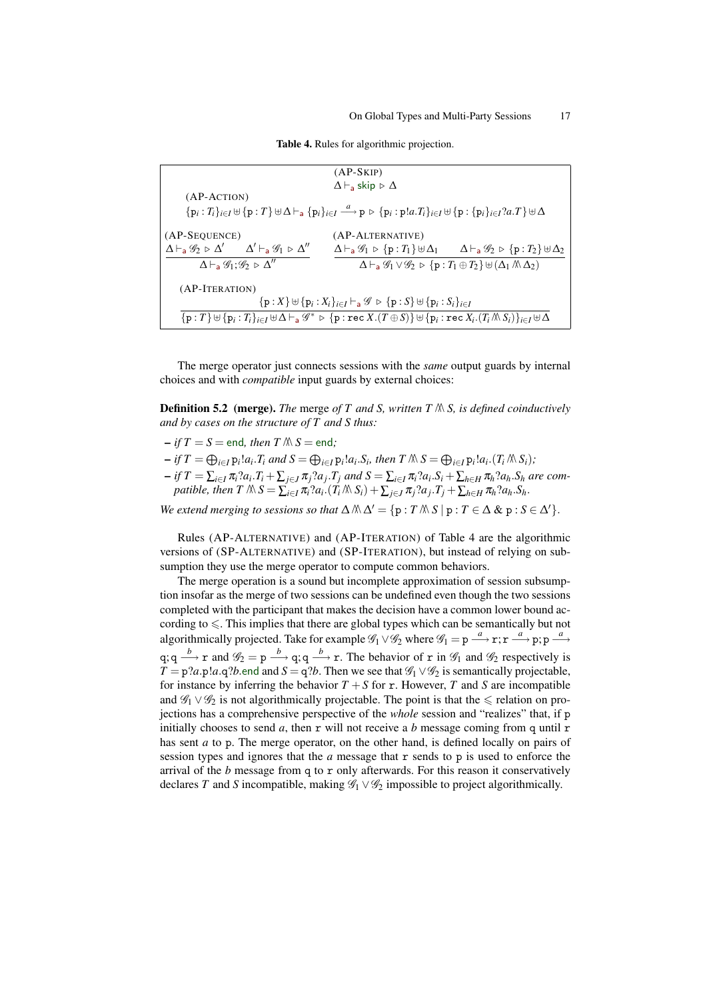| Table 4. Rules for algorithmic projection. |  |  |  |  |
|--------------------------------------------|--|--|--|--|
|                                            |  |  |  |  |

|                                                                                                                               | $(AP-SKIP)$                                                                                                                                                                                      |
|-------------------------------------------------------------------------------------------------------------------------------|--------------------------------------------------------------------------------------------------------------------------------------------------------------------------------------------------|
|                                                                                                                               | $\Delta \vdash_{\mathsf{a}} \mathsf{skip} \triangleright \Delta$                                                                                                                                 |
| (AP-ACTION)                                                                                                                   |                                                                                                                                                                                                  |
|                                                                                                                               | $\{p_i: T_i\}_{i\in I} \cup \{p:T\} \cup \Delta \vdash_a \{p_i\}_{i\in I} \stackrel{a}{\longrightarrow} p \triangleright \{p_i:p!a.T_i\}_{i\in I} \cup \{p:\{p_i\}_{i\in I} ? a.T\} \cup \Delta$ |
| (AP-SEQUENCE)                                                                                                                 | (AP-ALTERNATIVE)                                                                                                                                                                                 |
| $\Delta\vdash_{\mathsf{a}}\mathscr{G}_2\triangleright\Delta'$ $\Delta'\vdash_{\mathsf{a}}\mathscr{G}_1\triangleright\Delta''$ | $\Delta \vdash_a \mathscr{G}_1 \triangleright \{\mathbf{p}:T_1\} \uplus \Delta_1 \qquad \Delta \vdash_a \mathscr{G}_2 \triangleright \{\mathbf{p}:T_2\} \uplus \Delta_2$                         |
| $\Delta\vdash_{\mathsf{a}}\mathscr{G}_1;\mathscr{G}_2\triangleright\Delta''$                                                  | $\Delta \vdash_{\mathsf{a}} \mathscr{G}_1 \vee \mathscr{G}_2 \triangleright \{\mathsf{p}: T_1 \oplus T_2\} \uplus (\Delta_1 \wedge \Delta_2)$                                                    |
| (AP-ITERATION)                                                                                                                |                                                                                                                                                                                                  |
|                                                                                                                               | $\{p:X\}\cup\{p_i:X_i\}_{i\in I}\vdash_a \mathscr{G} \triangleright \{p:S\}\cup\{p_i:S_i\}_{i\in I}$                                                                                             |
|                                                                                                                               | $\{p:T\}\oplus\{p_i:T_i\}_{i\in I}\oplus\Delta\vdash_a \mathscr{G}^*\triangleright\{p:\texttt{rec}~X.(T\oplus S)\}\oplus\{p_i:\texttt{rec}~X_i.(T_i\,\mathbb{A}\,S_i)\}_{i\in I}\oplus\Delta$    |
|                                                                                                                               |                                                                                                                                                                                                  |

The merge operator just connects sessions with the *same* output guards by internal choices and with *compatible* input guards by external choices:

Definition 5.2 (merge). *The* merge *of T and S, written T* !*S, is defined coinductively and by cases on the structure of T and S thus:*

- $-$  *if*  $T = S$  = end, then  $T \wedge S$  = end;
- $-$  if  $T = \bigoplus_{i \in I} p_i! a_i.T_i$  and  $S = \bigoplus_{i \in I} p_i! a_i.S_i$ , then  $T \wedge S = \bigoplus_{i \in I} p_i! a_i.(T_i \wedge S_i);$
- $-$  if  $T = \sum_{i \in I} \pi_i a_i_i$ .  $T_i + \sum_{j \in J} \pi_j a_j_j$ .  $T_j$  and  $S = \sum_{i \in I} \pi_i a_i S_i + \sum_{h \in H} \pi_h a_h S_h$  are compatible, then  $T \wedge S = \sum_{i \in I} \pi_i a_i (T_i \wedge S_i) + \sum_{j \in J} \pi_j a_j T_j + \sum_{h \in H} \pi_h a_h S_h$ .

*We extend merging to sessions so that*  $\Delta M \Delta' = \{p : T M \ S \mid p : T \in \Delta \& p : S \in \Delta'\}.$ 

Rules (AP-ALTERNATIVE) and (AP-ITERATION) of Table 4 are the algorithmic versions of (SP-ALTERNATIVE) and (SP-ITERATION), but instead of relying on subsumption they use the merge operator to compute common behaviors.

The merge operation is a sound but incomplete approximation of session subsumption insofar as the merge of two sessions can be undefined even though the two sessions completed with the participant that makes the decision have a common lower bound according to  $\leq$ . This implies that there are global types which can be semantically but not algorithmically projected. Take for example  $\mathscr{G}_1 \lor \mathscr{G}_2$  where  $\mathscr{G}_1 = \mathbf{p} \stackrel{a}{\longrightarrow} \mathbf{r}; \mathbf{r} \stackrel{a}{\longrightarrow} \mathbf{p}; \mathbf{p} \stackrel{a}{\longrightarrow}$ q; q  $\stackrel{b}{\longrightarrow}$  r and  $\mathscr{G}_2 = \mathfrak{p} \stackrel{b}{\longrightarrow}$  q; q  $\stackrel{b}{\longrightarrow}$  r. The behavior of r in  $\mathscr{G}_1$  and  $\mathscr{G}_2$  respectively is  $T = p?a.p!a.q?b$  end and  $S = q?b$ . Then we see that  $\mathscr{G}_1 \vee \mathscr{G}_2$  is semantically projectable, for instance by inferring the behavior  $T + S$  for  $r$ . However,  $T$  and  $S$  are incompatible and  $\mathscr{G}_1 \vee \mathscr{G}_2$  is not algorithmically projectable. The point is that the  $\leq$  relation on projections has a comprehensive perspective of the *whole* session and "realizes" that, if p initially chooses to send  $a$ , then  $r$  will not receive a  $b$  message coming from q until  $r$ has sent *a* to p. The merge operator, on the other hand, is defined locally on pairs of session types and ignores that the *a* message that r sends to p is used to enforce the arrival of the *b* message from q to r only afterwards. For this reason it conservatively declares *T* and *S* incompatible, making  $\mathscr{G}_1 \vee \mathscr{G}_2$  impossible to project algorithmically.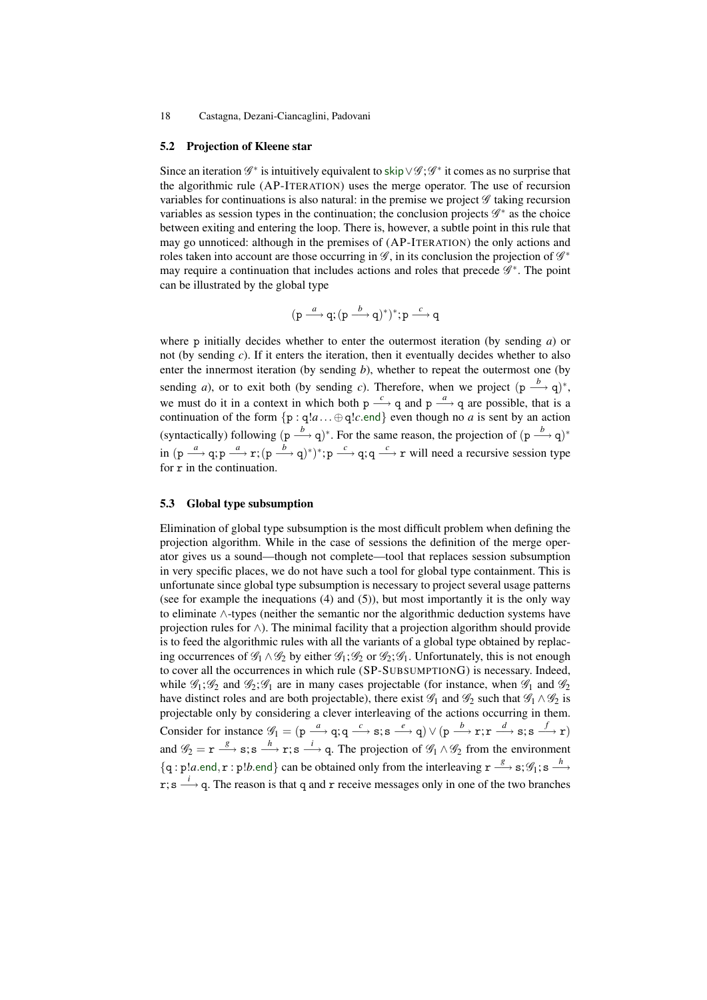#### 5.2 Projection of Kleene star

Since an iteration  $\mathscr{G}^*$  is intuitively equivalent to skip  $\forall \mathscr{G}$ ;  $\mathscr{G}^*$  it comes as no surprise that the algorithmic rule (AP-ITERATION) uses the merge operator. The use of recursion variables for continuations is also natural: in the premise we project  $\mathscr G$  taking recursion variables as session types in the continuation; the conclusion projects  $\mathscr{G}^*$  as the choice between exiting and entering the loop. There is, however, a subtle point in this rule that may go unnoticed: although in the premises of (AP-ITERATION) the only actions and roles taken into account are those occurring in  $\mathscr{G}$ , in its conclusion the projection of  $\mathscr{G}^*$ may require a continuation that includes actions and roles that precede  $\mathscr{G}^*$ . The point can be illustrated by the global type

$$
(p \xrightarrow{a} q; (p \xrightarrow{b} q)^*)^*; p \xrightarrow{c} q
$$

where p initially decides whether to enter the outermost iteration (by sending *a*) or not (by sending *c*). If it enters the iteration, then it eventually decides whether to also enter the innermost iteration (by sending *b*), whether to repeat the outermost one (by sending *a*), or to exit both (by sending *c*). Therefore, when we project  $(p \stackrel{b}{\longrightarrow} q)^*$ , we must do it in a context in which both  $p \stackrel{c}{\longrightarrow} q$  and  $p \stackrel{a}{\longrightarrow} q$  are possible, that is a continuation of the form  $\{p : q!a \dots \oplus q!c$  even though no *a* is sent by an action (syntactically) following  $(p \stackrel{b}{\longrightarrow} q)^*$ . For the same reason, the projection of  $(p \stackrel{b}{\longrightarrow} q)^*$ in (p  $\stackrel{a}{\longrightarrow}$  q;p  $\stackrel{a}{\longrightarrow}$  r;(p  $\stackrel{b}{\longrightarrow}$  q)<sup>\*</sup>)<sup>\*</sup>;p  $\stackrel{c}{\longrightarrow}$  q;q  $\stackrel{c}{\longrightarrow}$  r will need a recursive session type for r in the continuation.

### 5.3 Global type subsumption

Elimination of global type subsumption is the most difficult problem when defining the projection algorithm. While in the case of sessions the definition of the merge operator gives us a sound—though not complete—tool that replaces session subsumption in very specific places, we do not have such a tool for global type containment. This is unfortunate since global type subsumption is necessary to project several usage patterns (see for example the inequations (4) and (5)), but most importantly it is the only way to eliminate ∧-types (neither the semantic nor the algorithmic deduction systems have projection rules for ∧). The minimal facility that a projection algorithm should provide is to feed the algorithmic rules with all the variants of a global type obtained by replacing occurrences of  $\mathcal{G}_1 \wedge \mathcal{G}_2$  by either  $\mathcal{G}_1$ ;  $\mathcal{G}_2$  or  $\mathcal{G}_2$ ;  $\mathcal{G}_1$ . Unfortunately, this is not enough to cover all the occurrences in which rule (SP-SUBSUMPTIONG) is necessary. Indeed, while  $\mathscr{G}_1$ ;  $\mathscr{G}_2$  and  $\mathscr{G}_2$ ;  $\mathscr{G}_1$  are in many cases projectable (for instance, when  $\mathscr{G}_1$  and  $\mathscr{G}_2$ have distinct roles and are both projectable), there exist  $\mathscr{G}_1$  and  $\mathscr{G}_2$  such that  $\mathscr{G}_1 \wedge \mathscr{G}_2$  is projectable only by considering a clever interleaving of the actions occurring in them. Consider for instance  $\mathscr{G}_1 = (\mathbf{p} \stackrel{a}{\longrightarrow} \mathbf{q}; \mathbf{q} \stackrel{c}{\longrightarrow} \mathbf{s}; \mathbf{s} \stackrel{e}{\longrightarrow} \mathbf{q}) \vee (\mathbf{p} \stackrel{b}{\longrightarrow} \mathbf{r}; \mathbf{r} \stackrel{d}{\longrightarrow} \mathbf{s}; \mathbf{s} \stackrel{f}{\longrightarrow} \mathbf{r})$ and  $\mathscr{G}_2 = \mathbf{r} \stackrel{g}{\longrightarrow} \mathbf{s}; \mathbf{s} \stackrel{h}{\longrightarrow} \mathbf{r}; \mathbf{s} \stackrel{i}{\longrightarrow} \mathbf{q}$ . The projection of  $\mathscr{G}_1 \wedge \mathscr{G}_2$  from the environment  $\{q : p!a$ .end,  $r : p!b$ .end} can be obtained only from the interleaving  $r \xrightarrow{g} s; \mathscr{G}_1; s \xrightarrow{h} s$  $r$ ; s  $\stackrel{i}{\longrightarrow}$  q. The reason is that q and r receive messages only in one of the two branches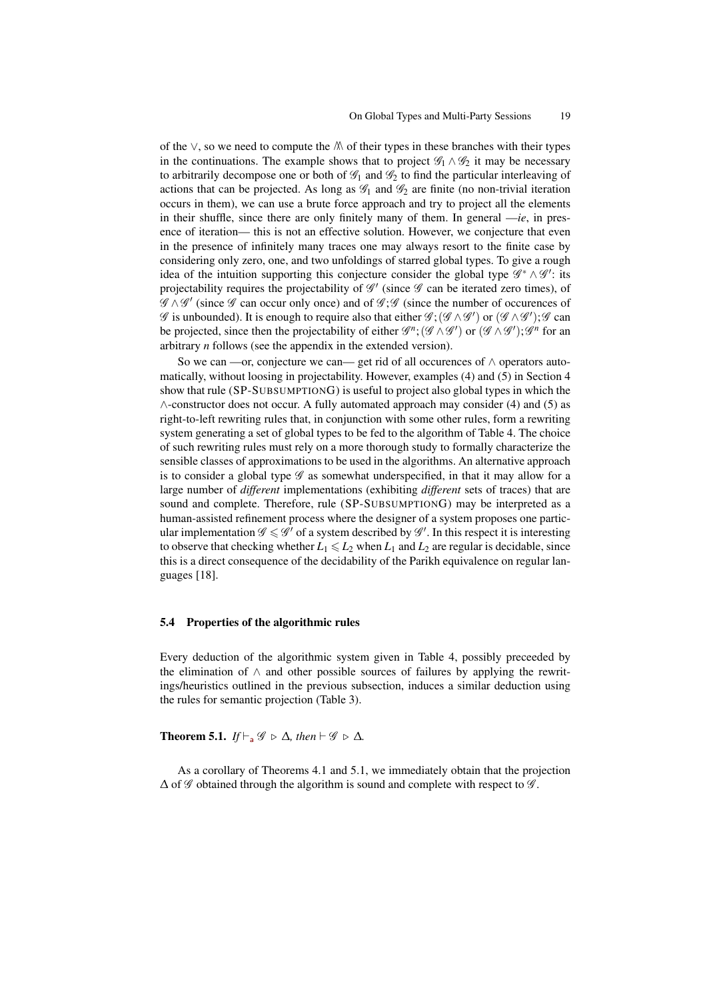of the  $\vee$ , so we need to compute the  $\wedge$  of their types in these branches with their types in the continuations. The example shows that to project  $\mathscr{G}_1 \wedge \mathscr{G}_2$  it may be necessary to arbitrarily decompose one or both of  $\mathcal{G}_1$  and  $\mathcal{G}_2$  to find the particular interleaving of actions that can be projected. As long as  $\mathscr{G}_1$  and  $\mathscr{G}_2$  are finite (no non-trivial iteration occurs in them), we can use a brute force approach and try to project all the elements in their shuffle, since there are only finitely many of them. In general —*ie*, in presence of iteration— this is not an effective solution. However, we conjecture that even in the presence of infinitely many traces one may always resort to the finite case by considering only zero, one, and two unfoldings of starred global types. To give a rough idea of the intuition supporting this conjecture consider the global type  $\mathscr{G}^* \wedge \mathscr{G}'$ : its projectability requires the projectability of  $\mathscr{G}'$  (since  $\mathscr{G}$  can be iterated zero times), of  $\mathscr{G} \wedge \mathscr{G}'$  (since  $\mathscr{G}$  can occur only once) and of  $\mathscr{G}$ ;  $\mathscr{G}$  (since the number of occurences of  $\mathscr G$  is unbounded). It is enough to require also that either  $\mathscr G$ ;  $(\mathscr G \wedge \mathscr G')$  or  $(\mathscr G \wedge \mathscr G')$ ;  $\mathscr G$  can be projected, since then the projectability of either  $\mathscr{G}^n$ ; ( $\mathscr{G} \wedge \mathscr{G}'$ ) or ( $\mathscr{G} \wedge \mathscr{G}'$ );  $\mathscr{G}^n$  for an arbitrary *n* follows (see the appendix in the extended version).

So we can —or, conjecture we can— get rid of all occurences of  $\land$  operators automatically, without loosing in projectability. However, examples (4) and (5) in Section 4 show that rule (SP-SUBSUMPTIONG) is useful to project also global types in which the ∧-constructor does not occur. A fully automated approach may consider (4) and (5) as right-to-left rewriting rules that, in conjunction with some other rules, form a rewriting system generating a set of global types to be fed to the algorithm of Table 4. The choice of such rewriting rules must rely on a more thorough study to formally characterize the sensible classes of approximations to be used in the algorithms. An alternative approach is to consider a global type  $\mathscr G$  as somewhat underspecified, in that it may allow for a large number of *different* implementations (exhibiting *different* sets of traces) that are sound and complete. Therefore, rule (SP-SUBSUMPTIONG) may be interpreted as a human-assisted refinement process where the designer of a system proposes one particular implementation  $\mathscr{G} \leq \mathscr{G}'$  of a system described by  $\mathscr{G}'$ . In this respect it is interesting to observe that checking whether  $L_1 \leq L_2$  when  $L_1$  and  $L_2$  are regular is decidable, since this is a direct consequence of the decidability of the Parikh equivalence on regular languages [18].

### 5.4 Properties of the algorithmic rules

Every deduction of the algorithmic system given in Table 4, possibly preceeded by the elimination of ∧ and other possible sources of failures by applying the rewritings/heuristics outlined in the previous subsection, induces a similar deduction using the rules for semantic projection (Table 3).

**Theorem 5.1.** *If*  $\vdash$ <sub>3</sub>  $\mathscr{G} \triangleright \Delta$ *, then*  $\vdash$   $\mathscr{G} \triangleright \Delta$ *.* 

As a corollary of Theorems 4.1 and 5.1, we immediately obtain that the projection  $\Delta$  of  $\mathscr G$  obtained through the algorithm is sound and complete with respect to  $\mathscr G$ .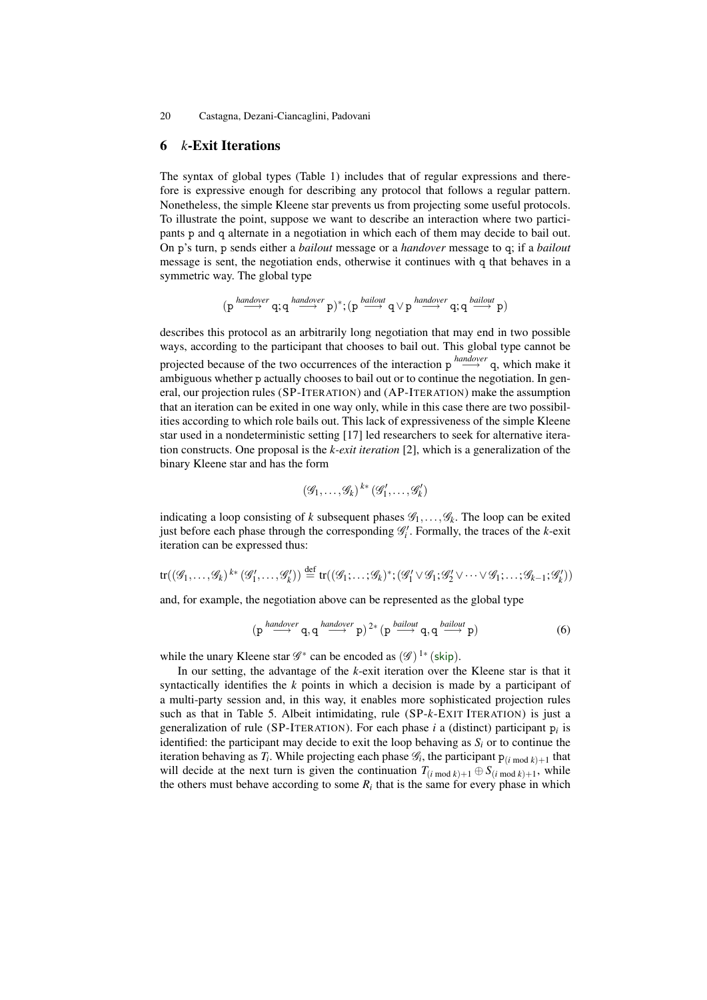### 6 *k*-Exit Iterations

The syntax of global types (Table 1) includes that of regular expressions and therefore is expressive enough for describing any protocol that follows a regular pattern. Nonetheless, the simple Kleene star prevents us from projecting some useful protocols. To illustrate the point, suppose we want to describe an interaction where two participants p and q alternate in a negotiation in which each of them may decide to bail out. On p's turn, p sends either a *bailout* message or a *handover* message to q; if a *bailout* message is sent, the negotiation ends, otherwise it continues with q that behaves in a symmetric way. The global type

$$
(p \stackrel{\textit{handover}}{\longrightarrow} q; q \stackrel{\textit{handover}}{\longrightarrow} p)^*; (p \stackrel{\textit{bailout}}{\longrightarrow} q \lor p \stackrel{\textit{handover}}{\longrightarrow} q; q \stackrel{\textit{bailout}}{\longrightarrow} p)
$$

describes this protocol as an arbitrarily long negotiation that may end in two possible ways, according to the participant that chooses to bail out. This global type cannot be projected because of the two occurrences of the interaction p<sup>handover</sup> q, which make it ambiguous whether p actually chooses to bail out or to continue the negotiation. In general, our projection rules (SP-ITERATION) and (AP-ITERATION) make the assumption that an iteration can be exited in one way only, while in this case there are two possibilities according to which role bails out. This lack of expressiveness of the simple Kleene star used in a nondeterministic setting [17] led researchers to seek for alternative iteration constructs. One proposal is the *k-exit iteration* [2], which is a generalization of the binary Kleene star and has the form

$$
(\mathscr{G}_1,\ldots,\mathscr{G}_k)^{k*}(\mathscr{G}_1',\ldots,\mathscr{G}_k')
$$

indicating a loop consisting of *k* subsequent phases  $\mathscr{G}_1, \ldots, \mathscr{G}_k$ . The loop can be exited just before each phase through the corresponding  $\mathcal{G}'_i$ . Formally, the traces of the *k*-exit iteration can be expressed thus:

$$
\text{tr}((\mathscr{G}_1,\ldots,\mathscr{G}_k)^{k*}(\mathscr{G}'_1,\ldots,\mathscr{G}'_k))\stackrel{\text{def}}{=} \text{tr}((\mathscr{G}_1;\ldots;\mathscr{G}_k)^*;(\mathscr{G}'_1\vee\mathscr{G}_1;\mathscr{G}'_2\vee\cdots\vee\mathscr{G}_1;\ldots;\mathscr{G}_{k-1};\mathscr{G}'_k))
$$

and, for example, the negotiation above can be represented as the global type

$$
\left(p \xrightarrow{handover} q, q \xrightarrow{handover} p\right)^{2*} \left(p \xrightarrow{bailout} q, q \xrightarrow{bailout} p\right) \tag{6}
$$

while the unary Kleene star  $\mathscr{G}^*$  can be encoded as  $(\mathscr{G})^{1*}$  (skip).

In our setting, the advantage of the *k*-exit iteration over the Kleene star is that it syntactically identifies the *k* points in which a decision is made by a participant of a multi-party session and, in this way, it enables more sophisticated projection rules such as that in Table 5. Albeit intimidating, rule (SP-*k*-EXIT ITERATION) is just a generalization of rule (SP-ITERATION). For each phase *i* a (distinct) participant p*<sup>i</sup>* is identified: the participant may decide to exit the loop behaving as  $S_i$  or to continue the iteration behaving as  $T_i$ . While projecting each phase  $\mathscr{G}_i$ , the participant  $p_{(i \mod k)+1}$  that will decide at the next turn is given the continuation  $T_{(i \bmod k)+1} \oplus S_{(i \bmod k)+1}$ , while the others must behave according to some  $R_i$  that is the same for every phase in which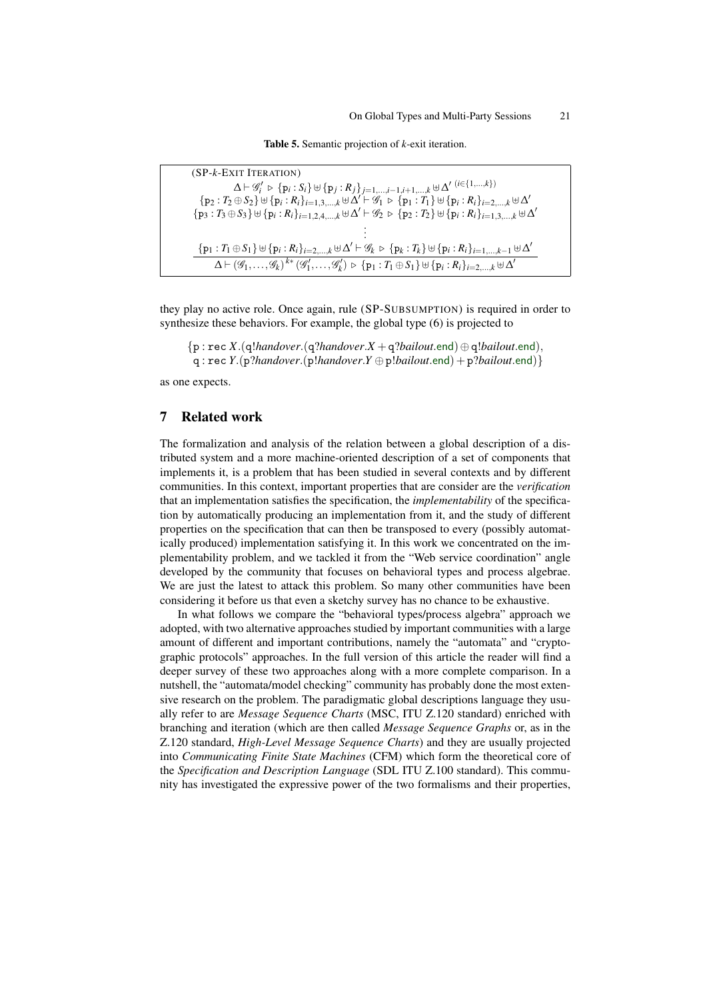Table 5. Semantic projection of *k*-exit iteration.

| (SP-k-EXIT ITERATION)                                                                                                                                                                                                             |
|-----------------------------------------------------------------------------------------------------------------------------------------------------------------------------------------------------------------------------------|
| $\Delta \vdash \mathcal{G}'_i \,\triangleright\, \{\mathbf{p}_i: S_i\} \uplus \{\mathbf{p}_j: R_j\}_{j=1,\dots,i-1,i+1,\dots,k} \uplus \Delta'\; (i \in \{1,\dots,k\})$                                                           |
| $\{p_2: T_2 \oplus S_2\} \cup \{p_i: R_i\}_{i=1,3,\dots,k} \cup \Delta' \vdash \mathscr{G}_1 \triangleright \{p_1: T_1\} \cup \{p_i: R_i\}_{i=2,\dots,k} \cup \Delta'$                                                            |
| $\{p_3: T_3 \oplus S_3\} \uplus \{p_i: R_i\}_{i=1,2,4,,k} \uplus \Delta' \vdash \mathscr{G}_2 \triangleright \{p_2: T_2\} \uplus \{p_i: R_i\}_{i=1,3,,k} \uplus \Delta'$                                                          |
|                                                                                                                                                                                                                                   |
|                                                                                                                                                                                                                                   |
| $\{p_1: T_1 \oplus S_1\} \cup \{p_i: R_i\}_{i=2,\ldots,k} \cup \Delta' \vdash \mathscr{G}_k \supset \{p_k: T_k\} \cup \{p_i: R_i\}_{i=1,\ldots,k-1} \cup \Delta'$                                                                 |
| $\Delta \vdash (\mathscr{G}_1, \ldots, \mathscr{G}_k)^{k*} \left( \mathscr{G}_1', \ldots, \mathscr{G}_k' \right) \vartriangleright \{\mathbf{p}_1 : T_1 \oplus S_1\} \uplus \{\mathbf{p}_i : R_i\}_{i=2,\ldots,k} \uplus \Delta'$ |

they play no active role. Once again, rule (SP-SUBSUMPTION) is required in order to synthesize these behaviors. For example, the global type (6) is projected to

 ${p : \text{rec } X.(q)!$ *handover*.(q?*handover.X* + q?*bailout.*end) ⊕ q!*bailout.*end), q : rec *Y*.(p?*handover*.(p!*handover*.*Y* ⊕p!*bailout*.end) +p?*bailout*.end)}

as one expects.

### 7 Related work

The formalization and analysis of the relation between a global description of a distributed system and a more machine-oriented description of a set of components that implements it, is a problem that has been studied in several contexts and by different communities. In this context, important properties that are consider are the *verification* that an implementation satisfies the specification, the *implementability* of the specification by automatically producing an implementation from it, and the study of different properties on the specification that can then be transposed to every (possibly automatically produced) implementation satisfying it. In this work we concentrated on the implementability problem, and we tackled it from the "Web service coordination" angle developed by the community that focuses on behavioral types and process algebrae. We are just the latest to attack this problem. So many other communities have been considering it before us that even a sketchy survey has no chance to be exhaustive.

In what follows we compare the "behavioral types/process algebra" approach we adopted, with two alternative approaches studied by important communities with a large amount of different and important contributions, namely the "automata" and "cryptographic protocols" approaches. In the full version of this article the reader will find a deeper survey of these two approaches along with a more complete comparison. In a nutshell, the "automata/model checking" community has probably done the most extensive research on the problem. The paradigmatic global descriptions language they usually refer to are *Message Sequence Charts* (MSC, ITU Z.120 standard) enriched with branching and iteration (which are then called *Message Sequence Graphs* or, as in the Z.120 standard, *High-Level Message Sequence Charts*) and they are usually projected into *Communicating Finite State Machines* (CFM) which form the theoretical core of the *Specification and Description Language* (SDL ITU Z.100 standard). This community has investigated the expressive power of the two formalisms and their properties,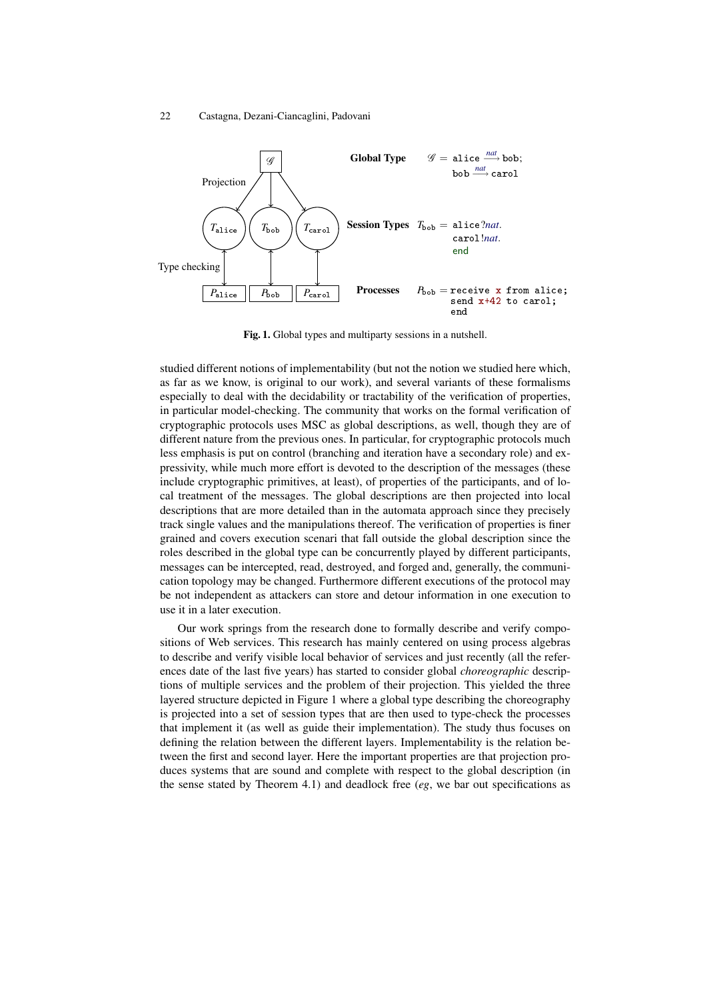

Fig. 1. Global types and multiparty sessions in a nutshell.

studied different notions of implementability (but not the notion we studied here which, as far as we know, is original to our work), and several variants of these formalisms especially to deal with the decidability or tractability of the verification of properties, in particular model-checking. The community that works on the formal verification of cryptographic protocols uses MSC as global descriptions, as well, though they are of different nature from the previous ones. In particular, for cryptographic protocols much less emphasis is put on control (branching and iteration have a secondary role) and expressivity, while much more effort is devoted to the description of the messages (these include cryptographic primitives, at least), of properties of the participants, and of local treatment of the messages. The global descriptions are then projected into local descriptions that are more detailed than in the automata approach since they precisely track single values and the manipulations thereof. The verification of properties is finer grained and covers execution scenari that fall outside the global description since the roles described in the global type can be concurrently played by different participants, messages can be intercepted, read, destroyed, and forged and, generally, the communication topology may be changed. Furthermore different executions of the protocol may be not independent as attackers can store and detour information in one execution to use it in a later execution.

Our work springs from the research done to formally describe and verify compositions of Web services. This research has mainly centered on using process algebras to describe and verify visible local behavior of services and just recently (all the references date of the last five years) has started to consider global *choreographic* descriptions of multiple services and the problem of their projection. This yielded the three layered structure depicted in Figure 1 where a global type describing the choreography is projected into a set of session types that are then used to type-check the processes that implement it (as well as guide their implementation). The study thus focuses on defining the relation between the different layers. Implementability is the relation between the first and second layer. Here the important properties are that projection produces systems that are sound and complete with respect to the global description (in the sense stated by Theorem 4.1) and deadlock free (*eg*, we bar out specifications as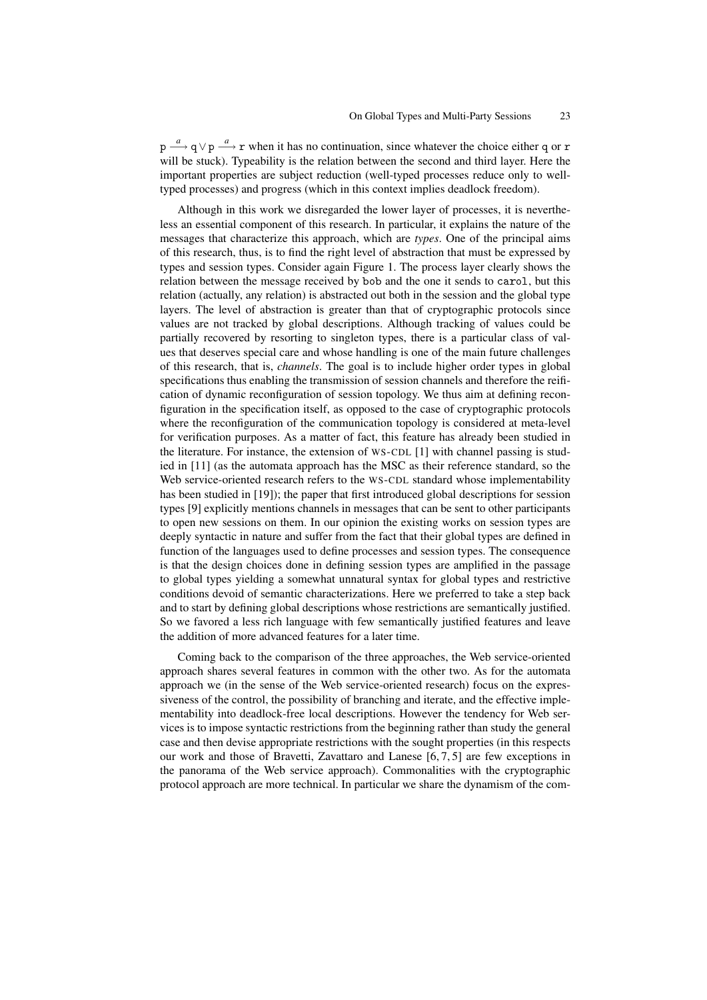p <sup>*a*</sup> → q  $\vee$  p <sup>*a*</sup> → r when it has no continuation, since whatever the choice either q or r will be stuck). Typeability is the relation between the second and third layer. Here the important properties are subject reduction (well-typed processes reduce only to welltyped processes) and progress (which in this context implies deadlock freedom).

Although in this work we disregarded the lower layer of processes, it is nevertheless an essential component of this research. In particular, it explains the nature of the messages that characterize this approach, which are *types*. One of the principal aims of this research, thus, is to find the right level of abstraction that must be expressed by types and session types. Consider again Figure 1. The process layer clearly shows the relation between the message received by bob and the one it sends to carol, but this relation (actually, any relation) is abstracted out both in the session and the global type layers. The level of abstraction is greater than that of cryptographic protocols since values are not tracked by global descriptions. Although tracking of values could be partially recovered by resorting to singleton types, there is a particular class of values that deserves special care and whose handling is one of the main future challenges of this research, that is, *channels*. The goal is to include higher order types in global specifications thus enabling the transmission of session channels and therefore the reification of dynamic reconfiguration of session topology. We thus aim at defining reconfiguration in the specification itself, as opposed to the case of cryptographic protocols where the reconfiguration of the communication topology is considered at meta-level for verification purposes. As a matter of fact, this feature has already been studied in the literature. For instance, the extension of WS-CDL [1] with channel passing is studied in [11] (as the automata approach has the MSC as their reference standard, so the Web service-oriented research refers to the WS-CDL standard whose implementability has been studied in [19]); the paper that first introduced global descriptions for session types [9] explicitly mentions channels in messages that can be sent to other participants to open new sessions on them. In our opinion the existing works on session types are deeply syntactic in nature and suffer from the fact that their global types are defined in function of the languages used to define processes and session types. The consequence is that the design choices done in defining session types are amplified in the passage to global types yielding a somewhat unnatural syntax for global types and restrictive conditions devoid of semantic characterizations. Here we preferred to take a step back and to start by defining global descriptions whose restrictions are semantically justified. So we favored a less rich language with few semantically justified features and leave the addition of more advanced features for a later time.

Coming back to the comparison of the three approaches, the Web service-oriented approach shares several features in common with the other two. As for the automata approach we (in the sense of the Web service-oriented research) focus on the expressiveness of the control, the possibility of branching and iterate, and the effective implementability into deadlock-free local descriptions. However the tendency for Web services is to impose syntactic restrictions from the beginning rather than study the general case and then devise appropriate restrictions with the sought properties (in this respects our work and those of Bravetti, Zavattaro and Lanese [6, 7, 5] are few exceptions in the panorama of the Web service approach). Commonalities with the cryptographic protocol approach are more technical. In particular we share the dynamism of the com-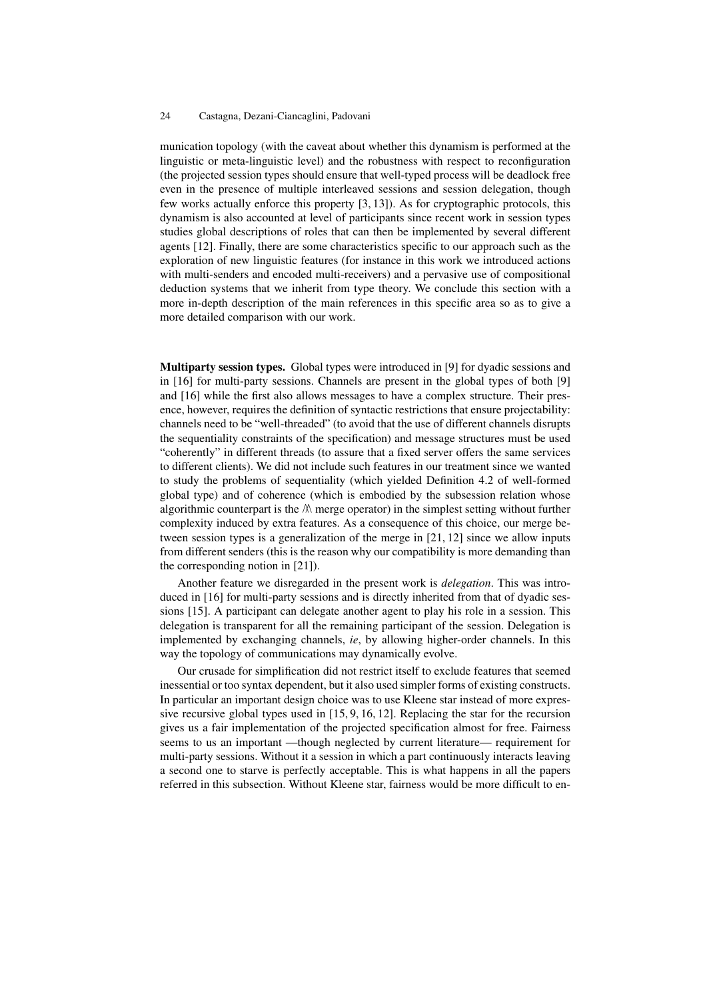munication topology (with the caveat about whether this dynamism is performed at the linguistic or meta-linguistic level) and the robustness with respect to reconfiguration (the projected session types should ensure that well-typed process will be deadlock free even in the presence of multiple interleaved sessions and session delegation, though few works actually enforce this property [3, 13]). As for cryptographic protocols, this dynamism is also accounted at level of participants since recent work in session types studies global descriptions of roles that can then be implemented by several different agents [12]. Finally, there are some characteristics specific to our approach such as the exploration of new linguistic features (for instance in this work we introduced actions with multi-senders and encoded multi-receivers) and a pervasive use of compositional deduction systems that we inherit from type theory. We conclude this section with a more in-depth description of the main references in this specific area so as to give a more detailed comparison with our work.

Multiparty session types. Global types were introduced in [9] for dyadic sessions and in [16] for multi-party sessions. Channels are present in the global types of both [9] and [16] while the first also allows messages to have a complex structure. Their presence, however, requires the definition of syntactic restrictions that ensure projectability: channels need to be "well-threaded" (to avoid that the use of different channels disrupts the sequentiality constraints of the specification) and message structures must be used "coherently" in different threads (to assure that a fixed server offers the same services to different clients). We did not include such features in our treatment since we wanted to study the problems of sequentiality (which yielded Definition 4.2 of well-formed global type) and of coherence (which is embodied by the subsession relation whose algorithmic counterpart is the  $M$  merge operator) in the simplest setting without further complexity induced by extra features. As a consequence of this choice, our merge between session types is a generalization of the merge in [21, 12] since we allow inputs from different senders (this is the reason why our compatibility is more demanding than the corresponding notion in [21]).

Another feature we disregarded in the present work is *delegation*. This was introduced in [16] for multi-party sessions and is directly inherited from that of dyadic sessions [15]. A participant can delegate another agent to play his role in a session. This delegation is transparent for all the remaining participant of the session. Delegation is implemented by exchanging channels, *ie*, by allowing higher-order channels. In this way the topology of communications may dynamically evolve.

Our crusade for simplification did not restrict itself to exclude features that seemed inessential or too syntax dependent, but it also used simpler forms of existing constructs. In particular an important design choice was to use Kleene star instead of more expressive recursive global types used in [15, 9, 16, 12]. Replacing the star for the recursion gives us a fair implementation of the projected specification almost for free. Fairness seems to us an important —though neglected by current literature— requirement for multi-party sessions. Without it a session in which a part continuously interacts leaving a second one to starve is perfectly acceptable. This is what happens in all the papers referred in this subsection. Without Kleene star, fairness would be more difficult to en-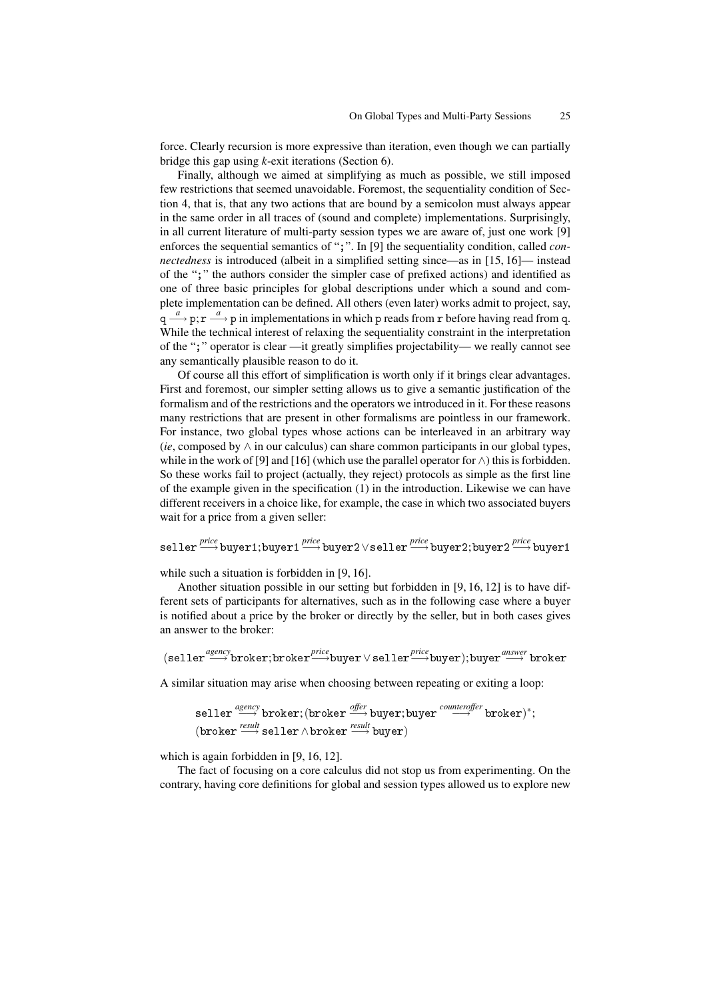force. Clearly recursion is more expressive than iteration, even though we can partially bridge this gap using *k*-exit iterations (Section 6).

Finally, although we aimed at simplifying as much as possible, we still imposed few restrictions that seemed unavoidable. Foremost, the sequentiality condition of Section 4, that is, that any two actions that are bound by a semicolon must always appear in the same order in all traces of (sound and complete) implementations. Surprisingly, in all current literature of multi-party session types we are aware of, just one work [9] enforces the sequential semantics of ";". In [9] the sequentiality condition, called *connectedness* is introduced (albeit in a simplified setting since—as in [15, 16]— instead of the ";" the authors consider the simpler case of prefixed actions) and identified as one of three basic principles for global descriptions under which a sound and complete implementation can be defined. All others (even later) works admit to project, say,  $\frac{a}{q} \rightarrow p; r \rightarrow p$  in implementations in which p reads from r before having read from q. While the technical interest of relaxing the sequentiality constraint in the interpretation of the ";" operator is clear —it greatly simplifies projectability— we really cannot see any semantically plausible reason to do it.

Of course all this effort of simplification is worth only if it brings clear advantages. First and foremost, our simpler setting allows us to give a semantic justification of the formalism and of the restrictions and the operators we introduced in it. For these reasons many restrictions that are present in other formalisms are pointless in our framework. For instance, two global types whose actions can be interleaved in an arbitrary way (*ie*, composed by ∧ in our calculus) can share common participants in our global types, while in the work of [9] and [16] (which use the parallel operator for  $\wedge$ ) this is forbidden. So these works fail to project (actually, they reject) protocols as simple as the first line of the example given in the specification (1) in the introduction. Likewise we can have different receivers in a choice like, for example, the case in which two associated buyers wait for a price from a given seller:

$$
\texttt{select} \overset{price}{\longrightarrow} \texttt{buyer1}; \texttt{buyer1} \overset{price}{\longrightarrow} \texttt{buyer2} \lor \texttt{select} \overset{price}{\longrightarrow} \texttt{buyer2}; \texttt{buyer2} \overset{price}{\longrightarrow} \texttt{buyer1}
$$

while such a situation is forbidden in [9, 16].

Another situation possible in our setting but forbidden in [9, 16, 12] is to have different sets of participants for alternatives, such as in the following case where a buyer is notified about a price by the broker or directly by the seller, but in both cases gives an answer to the broker:

(seller *agency* −→ broker;broker *price* −→buyer∨seller *price* −→buyer);buyer*answer* −→ broker

A similar situation may arise when choosing between repeating or exiting a loop:

$$
\texttt{self}\xrightarrow{agency}{\longrightarrow} \texttt{broker}; (\texttt{broker} \xrightarrow{offer} \texttt{buyer}; \texttt{buyer} \xrightarrow{counteroffer} \texttt{broker})^*;
$$
\n
$$
(\texttt{broker} \xrightarrow{result} \texttt{self} \wedge \texttt{broker} \xrightarrow{result} \texttt{buyer})
$$

which is again forbidden in [9, 16, 12].

The fact of focusing on a core calculus did not stop us from experimenting. On the contrary, having core definitions for global and session types allowed us to explore new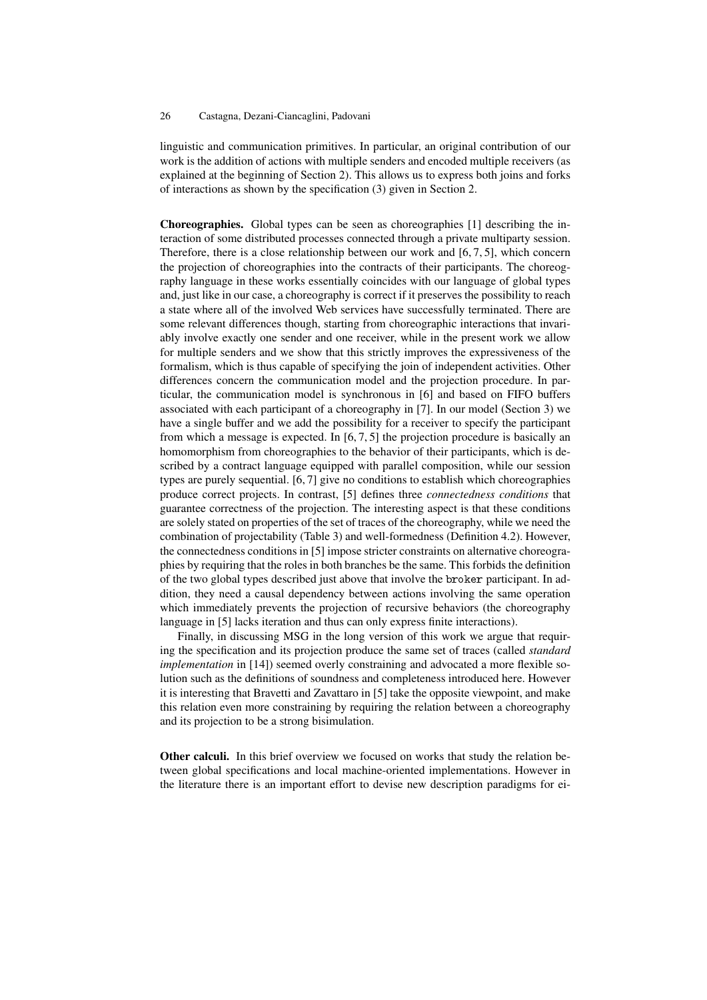linguistic and communication primitives. In particular, an original contribution of our work is the addition of actions with multiple senders and encoded multiple receivers (as explained at the beginning of Section 2). This allows us to express both joins and forks of interactions as shown by the specification (3) given in Section 2.

Choreographies. Global types can be seen as choreographies [1] describing the interaction of some distributed processes connected through a private multiparty session. Therefore, there is a close relationship between our work and [6, 7, 5], which concern the projection of choreographies into the contracts of their participants. The choreography language in these works essentially coincides with our language of global types and, just like in our case, a choreography is correct if it preserves the possibility to reach a state where all of the involved Web services have successfully terminated. There are some relevant differences though, starting from choreographic interactions that invariably involve exactly one sender and one receiver, while in the present work we allow for multiple senders and we show that this strictly improves the expressiveness of the formalism, which is thus capable of specifying the join of independent activities. Other differences concern the communication model and the projection procedure. In particular, the communication model is synchronous in [6] and based on FIFO buffers associated with each participant of a choreography in [7]. In our model (Section 3) we have a single buffer and we add the possibility for a receiver to specify the participant from which a message is expected. In [6, 7, 5] the projection procedure is basically an homomorphism from choreographies to the behavior of their participants, which is described by a contract language equipped with parallel composition, while our session types are purely sequential. [6, 7] give no conditions to establish which choreographies produce correct projects. In contrast, [5] defines three *connectedness conditions* that guarantee correctness of the projection. The interesting aspect is that these conditions are solely stated on properties of the set of traces of the choreography, while we need the combination of projectability (Table 3) and well-formedness (Definition 4.2). However, the connectedness conditions in [5] impose stricter constraints on alternative choreographies by requiring that the roles in both branches be the same. This forbids the definition of the two global types described just above that involve the broker participant. In addition, they need a causal dependency between actions involving the same operation which immediately prevents the projection of recursive behaviors (the choreography language in [5] lacks iteration and thus can only express finite interactions).

Finally, in discussing MSG in the long version of this work we argue that requiring the specification and its projection produce the same set of traces (called *standard implementation* in [14]) seemed overly constraining and advocated a more flexible solution such as the definitions of soundness and completeness introduced here. However it is interesting that Bravetti and Zavattaro in [5] take the opposite viewpoint, and make this relation even more constraining by requiring the relation between a choreography and its projection to be a strong bisimulation.

Other calculi. In this brief overview we focused on works that study the relation between global specifications and local machine-oriented implementations. However in the literature there is an important effort to devise new description paradigms for ei-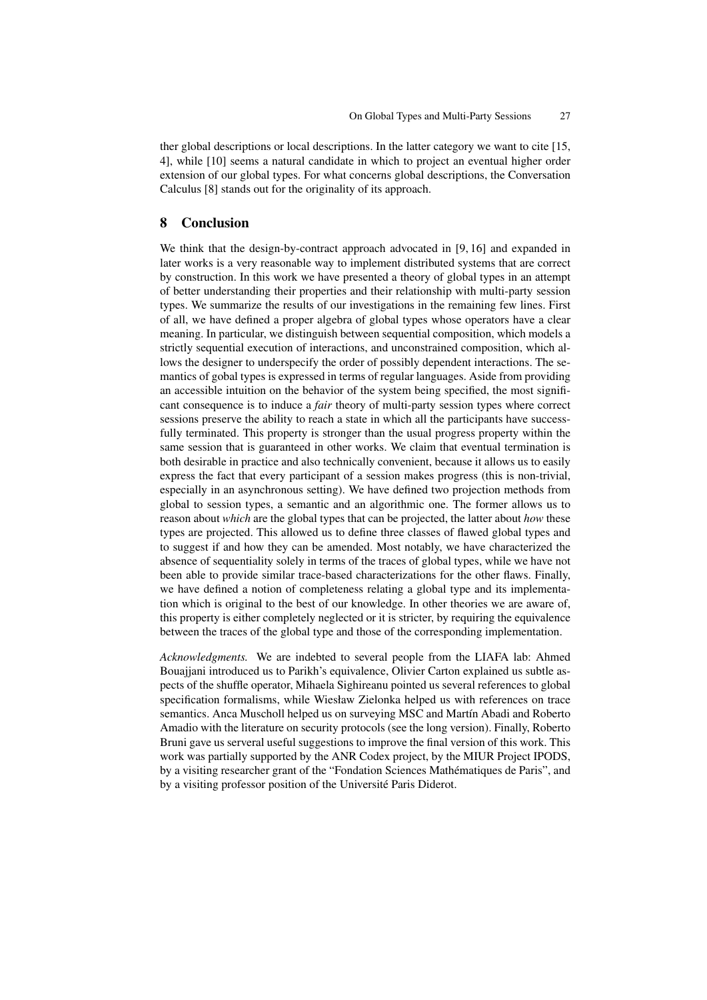ther global descriptions or local descriptions. In the latter category we want to cite [15, 4], while [10] seems a natural candidate in which to project an eventual higher order extension of our global types. For what concerns global descriptions, the Conversation Calculus [8] stands out for the originality of its approach.

### 8 Conclusion

We think that the design-by-contract approach advocated in [9, 16] and expanded in later works is a very reasonable way to implement distributed systems that are correct by construction. In this work we have presented a theory of global types in an attempt of better understanding their properties and their relationship with multi-party session types. We summarize the results of our investigations in the remaining few lines. First of all, we have defined a proper algebra of global types whose operators have a clear meaning. In particular, we distinguish between sequential composition, which models a strictly sequential execution of interactions, and unconstrained composition, which allows the designer to underspecify the order of possibly dependent interactions. The semantics of gobal types is expressed in terms of regular languages. Aside from providing an accessible intuition on the behavior of the system being specified, the most significant consequence is to induce a *fair* theory of multi-party session types where correct sessions preserve the ability to reach a state in which all the participants have successfully terminated. This property is stronger than the usual progress property within the same session that is guaranteed in other works. We claim that eventual termination is both desirable in practice and also technically convenient, because it allows us to easily express the fact that every participant of a session makes progress (this is non-trivial, especially in an asynchronous setting). We have defined two projection methods from global to session types, a semantic and an algorithmic one. The former allows us to reason about *which* are the global types that can be projected, the latter about *how* these types are projected. This allowed us to define three classes of flawed global types and to suggest if and how they can be amended. Most notably, we have characterized the absence of sequentiality solely in terms of the traces of global types, while we have not been able to provide similar trace-based characterizations for the other flaws. Finally, we have defined a notion of completeness relating a global type and its implementation which is original to the best of our knowledge. In other theories we are aware of, this property is either completely neglected or it is stricter, by requiring the equivalence between the traces of the global type and those of the corresponding implementation.

*Acknowledgments.* We are indebted to several people from the LIAFA lab: Ahmed Bouajjani introduced us to Parikh's equivalence, Olivier Carton explained us subtle aspects of the shuffle operator, Mihaela Sighireanu pointed us several references to global specification formalisms, while Wiesław Zielonka helped us with references on trace semantics. Anca Muscholl helped us on surveying MSC and Martín Abadi and Roberto Amadio with the literature on security protocols (see the long version). Finally, Roberto Bruni gave us serveral useful suggestions to improve the final version of this work. This work was partially supported by the ANR Codex project, by the MIUR Project IPODS, by a visiting researcher grant of the "Fondation Sciences Mathématiques de Paris", and by a visiting professor position of the Université Paris Diderot.